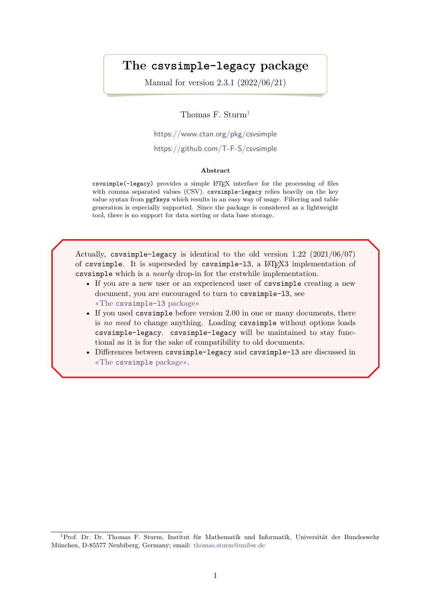# **The csvsimple-legacy package**

Manual for version 2.3.1 (2022/06/21)

Thomas F. Sturm<sup>[1](#page-0-0)</sup>

<https://www.ctan.org/pkg/csvsimple>

<https://github.com/T-F-S/csvsimple>

#### **Abstract**

csvsimple(-legacy) provides a simple LATEX interface for the processing of files with comma separated values (CSV). csvsimple-legacy relies heavily on the key value syntax from pgfkeys which results in an easy way of usage. Filtering and table generation is especially supported. Since the package is considered as a lightweight tool, there is no support for data sorting or data base storage.

Actually, csvsimple-legacy is identical to the old version 1.22 (2021/06/07) of csvsimple. It is superseded by csvsimple-l3, a LATEX3 implementation of csvsimple which is a *nearly* drop-in for the erstwhile implementation.

- If you are a new user or an experienced user of csvsimple creating a new document, you are encouraged to turn to csvsimple-l3, see «The csvsimple-l3 package»
- If you used csysimple before version 2.00 in one or many documents, there is *no need* to change anything. Loading csvsimple without options loads csvsimple-legacy. csvsimple-legacy will be maintained to stay functional as it is for the sake of compatibility to old documents.
- Differences between csvsimple-legacy and csvsimple-l3 are discussed in «The csvsimple package».

<span id="page-0-0"></span><sup>1</sup>Prof. Dr. Dr. Thomas F. Sturm, Institut für Mathematik und Informatik, Universität der Bundeswehr München, D-85577 Neubiberg, Germany; email: [thomas.sturm@unibw.de](mailto:thomas.sturm@unibw.de)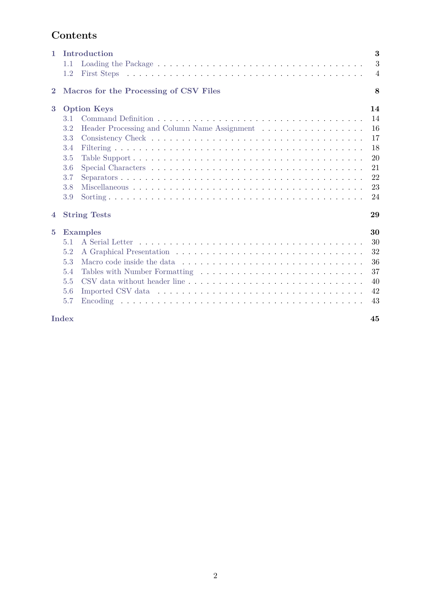# **Contents**

| $\mathbf{1}$   | Introduction<br>1.1<br>1.2             | 3<br>3<br>$\overline{4}$ |
|----------------|----------------------------------------|--------------------------|
| $\bf{2}$       | Macros for the Processing of CSV Files | 8                        |
| 3              | <b>Option Keys</b>                     | 14                       |
|                | 3.1                                    | 14                       |
|                | 3.2                                    | 16                       |
|                | 3.3                                    | 17                       |
|                | 3.4                                    | 18                       |
|                | 3.5                                    | 20                       |
|                | 3.6                                    | 21                       |
|                | 3.7                                    | 22                       |
|                | 3.8                                    | 23                       |
|                | 3.9                                    | 24                       |
| $\overline{4}$ | <b>String Tests</b>                    | 29                       |
| $\overline{5}$ | <b>Examples</b>                        | 30                       |
|                | 5.1                                    | 30                       |
|                | 5.2                                    | 32                       |
|                | 5.3                                    | 36                       |
|                | 5.4                                    | 37                       |
|                | 5.5                                    | 40                       |
|                | 5.6                                    | 42                       |
|                | 5.7                                    | 43                       |
|                | <b>Index</b>                           | 45                       |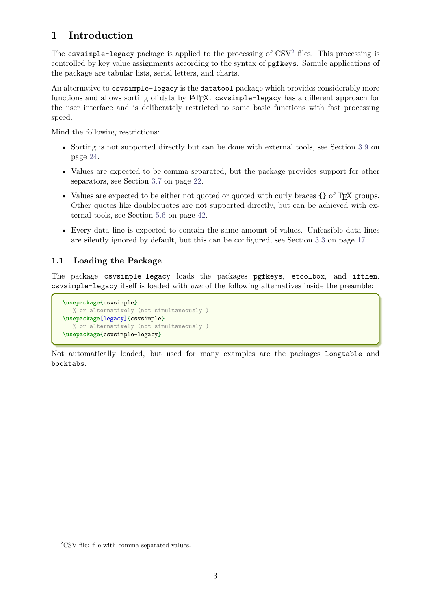# <span id="page-2-0"></span>**1 Introduction**

The csvsimple-legacy package is applied to the processing of  $\text{CSV}^2$  $\text{CSV}^2$  files. This processing is controlled by key value assignments according to the syntax of pgfkeys. Sample applications of the package are tabular lists, serial letters, and charts.

An alternative to csvsimple-legacy is the datatool package which provides considerably more functions and allows sorting of data by LAT<sub>E</sub>X. csvsimple-legacy has a different approach for the user interface and is deliberately restricted to some basic functions with fast processing speed.

Mind the following restrictions:

- Sorting is not supported directly but can be done with external tools, see Section [3.9](#page-23-0) on page [24.](#page-23-0)
- Values are expected to be comma separated, but the package provides support for other separators, see Section [3.7](#page-21-0) on page [22.](#page-21-0)
- Values are expected to be either not quoted or quoted with curly braces {} of T<sub>EX</sub> groups. Other quotes like doublequotes are not supported directly, but can be achieved with external tools, see Section [5.6](#page-41-0) on page [42.](#page-41-0)
- Every data line is expected to contain the same amount of values. Unfeasible data lines are silently ignored by default, but this can be configured, see Section [3.3](#page-16-0) on page [17.](#page-16-0)

# <span id="page-2-1"></span>**1.1 Loading the Package**

The package csvsimple-legacy loads the packages pgfkeys, etoolbox, and ifthen. csvsimple-legacy itself is loaded with *one* of the following alternatives inside the preamble:

```
\usepackage{csvsimple}
  % or alternatively (not simultaneously!)
\usepackage[legacy]{csvsimple}
   % or alternatively (not simultaneously!)
\usepackage{csvsimple-legacy}
```
Not automatically loaded, but used for many examples are the packages longtable and booktabs.

<span id="page-2-2"></span> $^{2}\mathrm{CSV}$  file: file with comma separated values.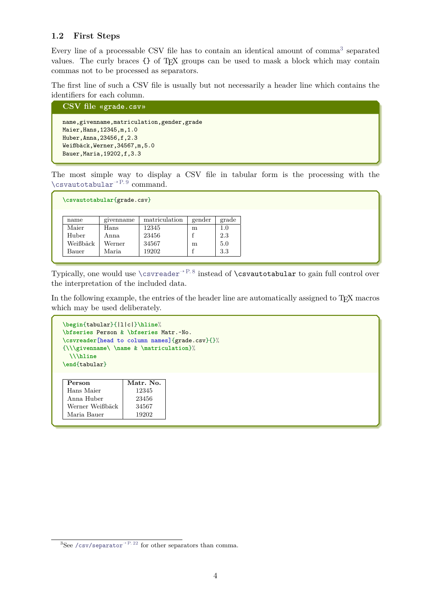## <span id="page-3-0"></span>**1.2 First Steps**

Every line of a processable CSV file has to contain an identical amount of comma<sup>[3](#page-3-1)</sup> separated values. The curly braces  $\{\}$  of T<sub>EX</sub> groups can be used to mask a block which may contain commas not to be processed as separators.

The first line of such a CSV file is usually but not necessarily a header line which contains the identifiers for each column.

```
CSV file «grade.csv»
name,givenname,matriculation,gender,grade
Maier,Hans,12345,m,1.0
Huber,Anna,23456,f,2.3
Weißbäck,Werner,34567,m,5.0
Bauer,Maria,19202,f,3.3
```
The most simple way to display a CSV file in tabular form is the processing with the [\csvautotabular](#page-8-0)<sup>→</sup> P. 9 command.

| \csvautotabular{grade.csv} |  |
|----------------------------|--|
|                            |  |

| name     | givenname | matriculation | gender | grade |
|----------|-----------|---------------|--------|-------|
| Maier    | Hans      | 12345         | m      | 1.0   |
| Huber    | Anna      | 23456         |        | 2.3   |
| Weißbäck | Werner    | 34567         | m      | 5.0   |
| Bauer    | Maria     | 19202         |        | 3.3   |

Typically, one would use  $\csc^{\theta}$  instead of  $\csc^{\theta}$  instead of  $\csc^{\theta}$  abular to gain full control over the interpretation of the included data.

In the following example, the entries of the header line are automatically assigned to T<sub>E</sub>X macros which may be used deliberately.

```
\begin{tabular}{|l|c|}\hline%
\bfseries Person & \bfseries Matr.~No.
\csvreader[head to column names]{grade.csv}{}%
{\\\givenname\ \name & \matriculation}%
 \\\hline
\end{tabular}
```

| Hans Maier<br>12345<br>Anna Huber<br>23456<br>Werner Weißbäck<br>34567 | Person      | Matr. No. |
|------------------------------------------------------------------------|-------------|-----------|
|                                                                        |             |           |
|                                                                        |             |           |
|                                                                        |             |           |
|                                                                        | Maria Bauer | 19202     |

<span id="page-3-1"></span> ${}^{3}$ See [/csv/separator](#page-21-1) ${}^{3}$ P. 22 for other separators than comma.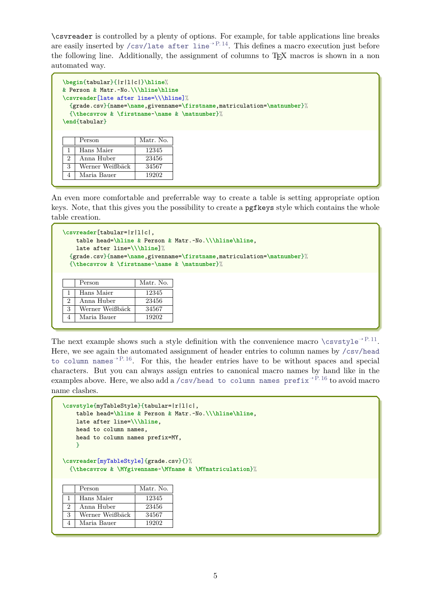\csvreader is controlled by a plenty of options. For example, for table applications line breaks are easily inserted by [/csv/late after line](#page-13-2)<sup>→ P. 14</sup>. This defines a macro execution just before the following line. Additionally, the assignment of columns to T<sub>E</sub>X macros is shown in a non automated way.

```
\begin{tabular}{|r|l|c|}\hline%
& Person & Matr.~No.\\\hline\hline
\csvreader[late after line=\\\hline]%
 {grade.csv}{name=\name,givenname=\firstname,matriculation=\matnumber}%
 {\thecsvrow & \firstname~\name & \matnumber}%
\end{tabular}
    Person Matr. No.
 1 Hans Maier 12345
 2 Anna Huber 23456
 3 Werner Weißbäck 34567
 4 Maria Bauer 19202
```
An even more comfortable and preferrable way to create a table is setting appropriate option keys. Note, that this gives you the possibility to create a pgfkeys style which contains the whole table creation.

```
\csvreader[tabular=|r|l|c|,
   table head=\hline & Person & Matr.~No.\\\hline\hline,
   late after line=\\\hline]%
 {grade.csv}{name=\name,givenname=\firstname,matriculation=\matnumber}%
 {\thecsvrow & \firstname~\name & \matnumber}%
    Person Matr. No.
 1 | Hans Maier | 12345
```

| The next example shows such a style definition with the convenience macro $\csc^{-p.11}$ .                                   |
|------------------------------------------------------------------------------------------------------------------------------|
| Here, we see again the automated assignment of header entries to column names by /csv/head                                   |
| to column names <sup><math>\rightarrow</math>P.16</sup> . For this, the header entries have to be without spaces and special |
| characters. But you can always assign entries to canonical macro names by hand like in the                                   |
| examples above. Here, we also add a /csv/head to column names $prefix^{-P.16}$ to avoid macro                                |
| name clashes.                                                                                                                |

```
\csvstyle{myTableStyle}{tabular=|r|l|c|,
   table head=\hline & Person & Matr.~No.\\\hline\hline,
   late after line=\\\hline,
   head to column names,
   head to column names prefix=MY,
   }
```
**\csvreader**[myTableStyle]{grade.csv}{}% {**\thecsvrow** & **\MYgivenname**~**\MYname** & **\MYmatriculation**}%

|   | Person          | Matr. No. |
|---|-----------------|-----------|
|   | Hans Maier      | 12345     |
| 2 | Anna Huber      | 23456     |
| 3 | Werner Weißbäck | 34567     |
|   | Maria Bauer     | 19202     |

2 Anna Huber 23456 3 Werner Weißbäck 34567 4 Maria Bauer 19202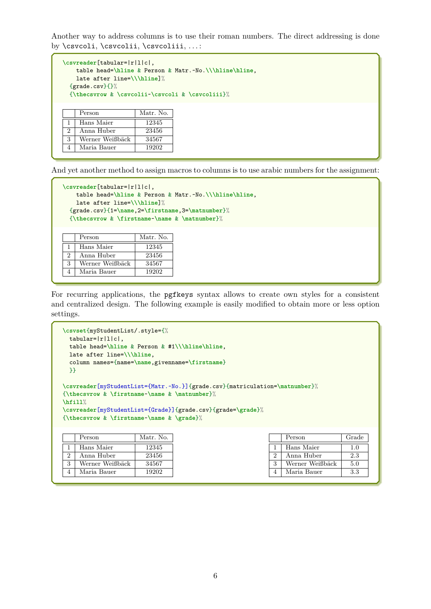Another way to address columns is to use their roman numbers. The direct addressing is done by \csvcoli, \csvcolii, \csvcoliii, . . . :

```
\csvreader[tabular=|r|l|c|,
   table head=\hline & Person & Matr.~No.\\\hline\hline,
   late after line=\\\hline]%
 {grade.csv}{}}{}%
 {\thecsvrow & \csvcolii~\csvcoli & \csvcoliii}%
    Person Matr. No.
 1 Hans Maier 12345
 2 Anna Huber 23456
3 Werner Weißbäck 34567
```
And yet another method to assign macros to columns is to use arabic numbers for the assignment:

```
\csvreader[tabular=|r|l|c|,
   table head=\hline & Person & Matr.~No.\\\hline\hline,
   late after line=\\\hline]%
 {grade.csv}{1=\name,2=\firstname,3=\matnumber}%
 {\thecsvrow & \firstname~\name & \matnumber}%
   Person Matr. No.
 1 | Hans Maier | 12345
```

|   | Hans Maier      | 12345 |
|---|-----------------|-------|
|   | Anna Huber      | 23456 |
| 3 | Werner Weißbäck | 34567 |
|   | Maria Bauer     | 19202 |

4 | Maria Bauer | 19202

For recurring applications, the pgfkeys syntax allows to create own styles for a consistent and centralized design. The following example is easily modified to obtain more or less option settings.

```
\csvset{myStudentList/.style={%
 tabular=|r|l|c|,
 table head=\hline & Person & #1\\\hline\hline,
 late after line=\\\hline,
 column names={name=\name,givenname=\firstname}
 }}
\csvreader[myStudentList={Matr.~No.}]{grade.csv}{matriculation=\matnumber}%
{\thecsvrow & \firstname~\name & \matnumber}%
\hfill%
\csvreader[myStudentList={Grade}]{grade.csv}{grade=\grade}%
{\thecsvrow & \firstname~\name & \grade}%
    Person Matr. No.
 1 | Hans Maier | 12345
 2 Anna Huber 23456
 3 Werner Weißbäck 34567
 4 Maria Bauer 19202
                                                          Person Grade
                                                       1 | Hans Maier | 1.0
                                                       2 Anna Huber 2.3
                                                       3 Werner Weißbäck 5.0
                                                       4 Maria Bauer 3.3
```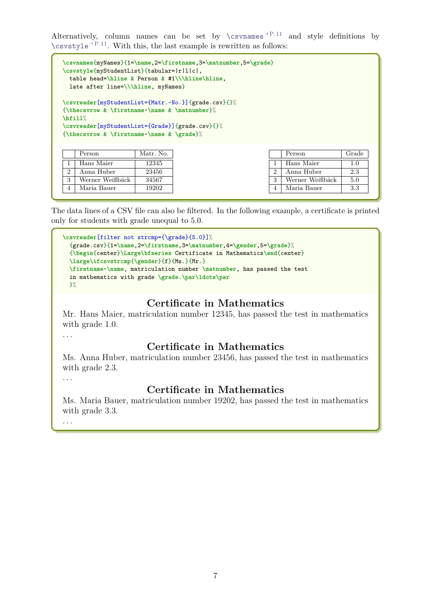Alternatively, column names can be set by  $\csc^{\text{P.11}}$  and style definitions by  $\cos\theta$  P. 11. With this, the last example is rewritten as follows:

```
\csvnames{myNames}{1=\name,2=\firstname,3=\matnumber,5=\grade}
\csvstyle{myStudentList}{tabular=|r|l|c|,
 table head=\hline & Person & #1\\\hline\hline,
 late after line=\\\hline, myNames}
\csvreader[myStudentList={Matr.~No.}]{grade.csv}{}%
{\thecsvrow & \firstname~\name & \matnumber}%
\hfill%
\csvreader[myStudentList={Grade}]{grade.csv}{}%
{\thecsvrow & \firstname~\name & \grade}%
    Person Matr. No.
 1 Hans Maier 12345
 2 | Anna Huber | 23456
 3 Werner Weißbäck 34567
 4 Maria Bauer 19202
                                                         Person Grade
                                                      1 Hans Maier 1.0
                                                      2 Anna Huber 2.3
                                                      3 Werner Weißbäck 5.0
                                                      4 Maria Bauer 3.3
```
The data lines of a CSV file can also be filtered. In the following example, a certificate is printed only for students with grade unequal to 5.0.

```
\csvreader[filter not strcmp={\grade}{5.0}]%
  {grade.csv}{1=\name,2=\firstname,3=\matnumber,4=\gender,5=\grade}%
  {\begin{center}\Large\bfseries Certificate in Mathematics\end{center}
  \large\ifcsvstrcmp{\gender}{f}{Ms.}{Mr.}
  \firstname~\name, matriculation number \matnumber, has passed the test
  in mathematics with grade \grade.\par\ldots\par
  \frac{1}{2}%
```
# **Certificate in Mathematics**

Mr. Hans Maier, matriculation number 12345, has passed the test in mathematics with grade 1.0.

. . .

# **Certificate in Mathematics**

Ms. Anna Huber, matriculation number 23456, has passed the test in mathematics with grade 2.3.

. . .

# **Certificate in Mathematics**

Ms. Maria Bauer, matriculation number 19202, has passed the test in mathematics with grade 3.3.

. . .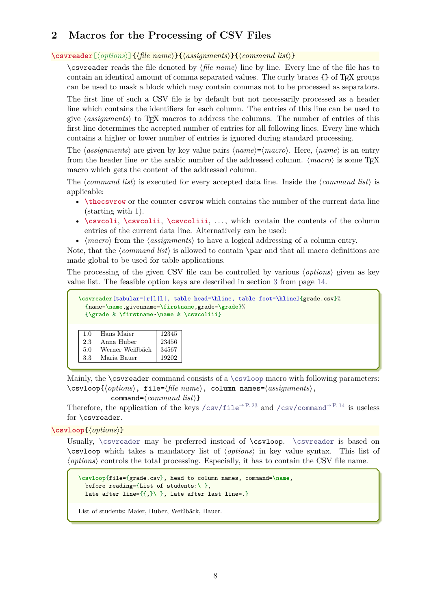# <span id="page-7-3"></span><span id="page-7-0"></span>**2 Macros for the Processing of CSV Files**

<span id="page-7-1"></span>**\csvreader**[⟨*options*⟩]{⟨*file name*⟩}{⟨*assignments*⟩}{⟨*command list*⟩}

\csvreader reads the file denoted by ⟨*file name*⟩ line by line. Every line of the file has to contain an identical amount of comma separated values. The curly braces {} of TEX groups can be used to mask a block which may contain commas not to be processed as separators.

The first line of such a CSV file is by default but not necessarily processed as a header line which contains the identifiers for each column. The entries of this line can be used to give ⟨*assignments*⟩ to TEX macros to address the columns. The number of entries of this first line determines the accepted number of entries for all following lines. Every line which contains a higher or lower number of entries is ignored during standard processing.

The  $\langle \text{assignments} \rangle$  are given by key value pairs  $\langle \text{name} \rangle = \langle \text{macro} \rangle$ . Here,  $\langle \text{name} \rangle$  is an entry from the header line *or* the arabic number of the addressed column. ⟨*macro*⟩ is some TEX macro which gets the content of the addressed column.

The ⟨*command list*⟩ is executed for every accepted data line. Inside the ⟨*command list*⟩ is applicable:

- **\thecsvrow** or the counter csvrow which contains the number of the current data line (starting with 1).
- **\csvcoli**, **\csvcolii**, **\csvcoliii**, . . . , which contain the contents of the column entries of the current data line. Alternatively can be used:
- ⟨*macro*⟩ from the ⟨*assignments*⟩ to have a logical addressing of a column entry.

Note, that the *(command list)* is allowed to contain **\par** and that all macro definitions are made global to be used for table applications.

The processing of the given CSV file can be controlled by various ⟨*options*⟩ given as key value list. The feasible option keys are described in section [3](#page-13-0) from page [14.](#page-13-0)

```
\csvreader[tabular=|r|l|l|, table head=\hline, table foot=\hline]{grade.csv}%
 {name=\name,givenname=\firstname,grade=\grade}%
 {\grade & \firstname~\name & \csvcoliii}
 1.0 | Hans Maier | 12345
 2.3 | Anna Huber | 23456
5.0 Werner Weißbäck 34567
 3.3 Maria Bauer 19202
```
Mainly, the \csvreader command consists of a [\csvloop](#page-7-2) macro with following parameters: \csvloop{⟨*options*⟩, file=⟨*file name*⟩, column names=⟨*assignments*⟩,

command=⟨*command list*⟩}

Therefore, the application of the keys [/csv/file](#page-22-1)<sup>→ P.23</sup> and [/csv/command](#page-13-3)<sup>→ P.14</sup> is useless for \csvreader.

<span id="page-7-2"></span>**\csvloop**{⟨*options*⟩}

Usually, [\csvreader](#page-7-1) may be preferred instead of \csvloop. \csvreader is based on \csvloop which takes a mandatory list of ⟨*options*⟩ in key value syntax. This list of ⟨*options*⟩ controls the total processing. Especially, it has to contain the CSV file name.

```
\csvloop{file={grade.csv}, head to column names, command=\name,
 before reading={List of students:\ },
 late after line={{,}\ }, late after last line=.}
```
List of students: Maier, Huber, Weißbäck, Bauer.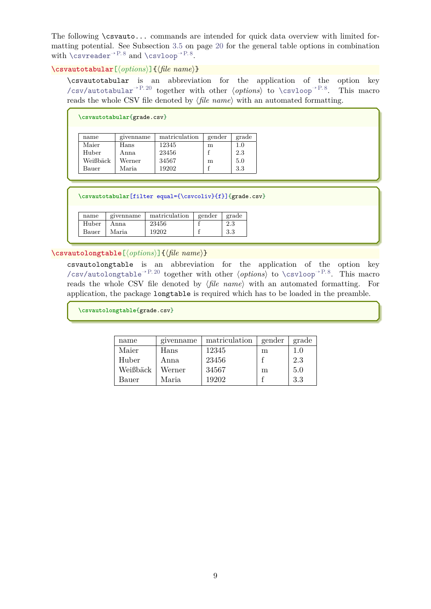<span id="page-8-1"></span>The following \csvauto... commands are intended for quick data overview with limited formatting potential. See Subsection [3.5](#page-19-0) on page [20](#page-19-0) for the general table options in combination with  $\simeq$   $\text{Per}^{\text{P.8}}$  and  $\text{Csvloop}^{\text{P.8}}$ .

<span id="page-8-0"></span>**\csvautotabular**[⟨*options*⟩]{⟨*file name*⟩}

\csvautotabular is an abbreviation for the application of the option key [/csv/autotabular](#page-19-1)<sup>→</sup> P. 20 together with other ⟨*options*⟩ to [\csvloop](#page-7-2)<sup>→</sup> P. 8. This macro reads the whole CSV file denoted by ⟨*file name*⟩ with an automated formatting.

| \csvautotabular{grade.csv} |           |               |        |       |  |  |  |
|----------------------------|-----------|---------------|--------|-------|--|--|--|
| name                       | givenname | matriculation | gender | grade |  |  |  |
| Maier                      | Hans      | 12345         | m      | 1.0   |  |  |  |
| Huber                      | Anna      | 23456         |        | 2.3   |  |  |  |
| Weißbäck                   | Werner    | 34567         | m      | 5.0   |  |  |  |
| Bauer                      | Maria.    | 19202         |        | 3.3   |  |  |  |

**\csvautotabular**[filter equal={\csvcoliv}{f}]{grade.csv}

| name  | givenhame | matriculation | gender | grade |
|-------|-----------|---------------|--------|-------|
| Huber | Anna.     | 23456         |        | 2.3   |
| Bauer | Maria     | 19202         |        | 3.3   |

**\csvautolongtable**[⟨*options*⟩]{⟨*file name*⟩}

csvautolongtable is an abbreviation for the application of the option key [/csv/autolongtable](#page-19-2)<sup>→</sup> P. 20 together with other ⟨*options*⟩ to [\csvloop](#page-7-2)<sup>→</sup> P. 8. This macro reads the whole CSV file denoted by ⟨*file name*⟩ with an automated formatting. For application, the package longtable is required which has to be loaded in the preamble.

**\csvautolongtable**{grade.csv}

| name     | given name | matriculation | gender | grade |
|----------|------------|---------------|--------|-------|
| Maier    | Hans       | 12345         | m      | 1.0   |
| Huber    | Anna       | 23456         |        | 2.3   |
| Weißbäck | Werner     | 34567         | m      | 5.0   |
| Bauer    | Maria.     | 19202         |        | 3.3   |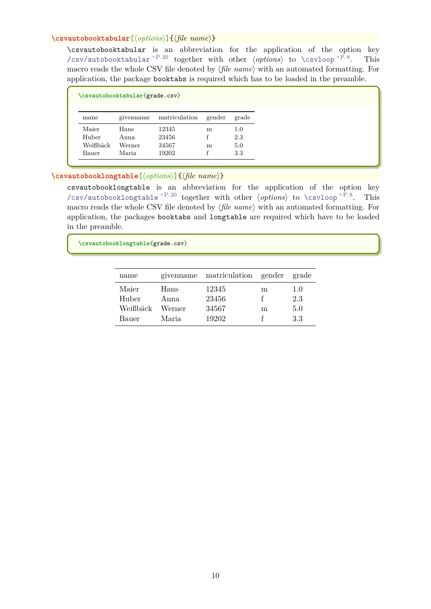#### <span id="page-9-0"></span>**\csvautobooktabular**[⟨*options*⟩]{⟨*file name*⟩}

\csvautobooktabular is an abbreviation for the application of the option key [/csv/autobooktabular](#page-19-3)<sup>→</sup> P. 20 together with other ⟨*options*⟩ to [\csvloop](#page-7-2)<sup>→</sup> P. 8. This macro reads the whole CSV file denoted by ⟨*file name*⟩ with an automated formatting. For application, the package booktabs is required which has to be loaded in the preamble.

| \csvautobooktabular{grade.csv} |           |               |        |       |  |  |  |  |
|--------------------------------|-----------|---------------|--------|-------|--|--|--|--|
| name                           | givenname | matriculation | gender | grade |  |  |  |  |
| Maier                          | Hans      | 12345         | m      | 1.0   |  |  |  |  |
| Huber                          | Anna      | 23456         |        | 2.3   |  |  |  |  |
| Weißbäck                       | Werner    | 34567         | m      | 5.0   |  |  |  |  |
| Bauer                          | Maria     | 19202         |        | 3.3   |  |  |  |  |

#### **\csvautobooklongtable**[⟨*options*⟩]{⟨*file name*⟩}

csvautobooklongtable is an abbreviation for the application of the option key [/csv/autobooklongtable](#page-19-4)<sup>→</sup> P. 20 together with other ⟨*options*⟩ to [\csvloop](#page-7-2)<sup>→</sup> P. 8. This macro reads the whole CSV file denoted by ⟨*file name*⟩ with an automated formatting. For application, the packages booktabs and longtable are required which have to be loaded in the preamble.

**\csvautobooklongtable**{grade.csv}

| name     |        | given nation gender |   | grade |
|----------|--------|---------------------|---|-------|
| Maier    | Hans   | 12345               | m | 1.0   |
| Huber    | Anna   | 23456               |   | 2.3   |
| Weißbäck | Werner | 34567               | m | 5.0   |
| Bauer    | Maria  | 19202               |   | 3.3   |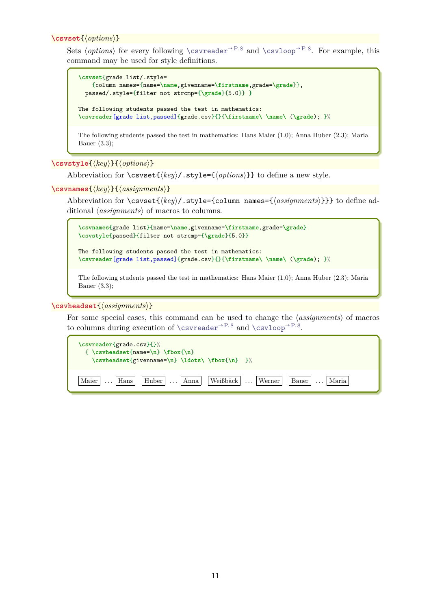<span id="page-10-2"></span>**\csvset**{⟨*options*⟩}

Sets  $\{options\}$  for every following  $\csc^{\rho}$ <sup>+P.8</sup> and  $\csc^{\rho}$ <sup>+P.8</sup>. For example, this command may be used for style definitions.

```
\csvset{grade list/.style=
    {column names={name=\name,givenname=\firstname,grade=\grade}},
  passed/.style={filter not strcmp={\grade}{5.0}} }
The following students passed the test in mathematics:
\csvreader[grade list,passed]{grade.csv}{}{\firstname\ \name\ (\grade); }%
```
The following students passed the test in mathematics: Hans Maier (1.0); Anna Huber (2.3); Maria Bauer (3.3);

<span id="page-10-0"></span>**\csvstyle**{⟨*key*⟩}{⟨*options*⟩}

Abbreviation for \csvset{⟨*key*⟩/.style={⟨*options*⟩}} to define a new style.

<span id="page-10-1"></span>**\csvnames**{⟨*key*⟩}{⟨*assignments*⟩}

Abbreviation for \csvset{⟨*key*⟩/.style={column names={⟨*assignments*⟩}}} to define additional ⟨*assignments*⟩ of macros to columns.

```
\csvnames{grade list}{name=\name,givenname=\firstname,grade=\grade}
\csvstyle{passed}{filter not strcmp={\grade}{5.0}}
```

```
The following students passed the test in mathematics:
\csvreader[grade list,passed]{grade.csv}{}{\firstname\ \name\ (\grade); }%
```

```
The following students passed the test in mathematics: Hans Maier (1.0); Anna Huber (2.3); Maria
Bauer (3.3);
```
**\csvheadset**{⟨*assignments*⟩}

For some special cases, this command can be used to change the ⟨*assignments*⟩ of macros to columns during execution of  $\csc^{\gamma P.8}$  and  $\csc^{\gamma P.8}$ .

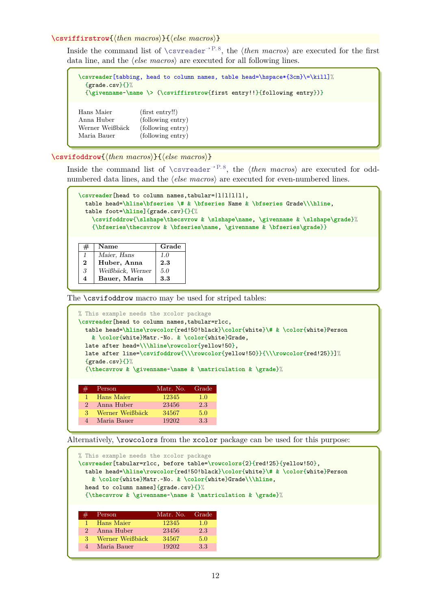#### <span id="page-11-0"></span>**\csviffirstrow**{⟨*then macros*⟩}{⟨*else macros*⟩}

Inside the command list of  $\csc^{\text{P.B}}$ , the  $\theta$ *macros* are executed for the first data line, and the ⟨*else macros*⟩ are executed for all following lines.

| $\{grade.csv\}\$ | \csvreader[tabbing, head to column names, table head=\hspace*{3cm}\=\kill]%<br>$\{\g$ ivenname~\name \> $(\cavity\{first entry!!\}{following entry})\}$ |
|------------------|---------------------------------------------------------------------------------------------------------------------------------------------------------|
| Hans Maier       | (first entry!!)                                                                                                                                         |
| Anna Huber       | (following entry)                                                                                                                                       |
| Werner Weißbäck  | (following entry)                                                                                                                                       |
| Maria Bauer      | (following entry)                                                                                                                                       |

**\csvifoddrow**{⟨*then macros*⟩}{⟨*else macros*⟩}

Inside the command list of [\csvreader](#page-7-1)<sup>→</sup> P. 8, the ⟨*then macros*⟩ are executed for oddnumbered data lines, and the ⟨*else macros*⟩ are executed for even-numbered lines.

```
\csvreader[head to column names,tabular=|l|l|l|l|,
 table head=\hline\bfseries \# & \bfseries Name & \bfseries Grade\\\hline,
 table foot=\hline]{grade.csv}{}{%
   \csvifoddrow{\slshape\thecsvrow & \slshape\name, \givenname & \slshape\grade}%
   {\bfseries\thecsvrow & \bfseries\name, \givenname & \bfseries\grade}}
```

| #        | Name             | Grade |
|----------|------------------|-------|
|          | Maier, Hans      | 1.0   |
| $\bf{2}$ | Huber, Anna      | 2.3   |
| 3        | Weißbäck, Werner | 5.0   |
| 4        | Bauer, Maria     | 3.3   |

The **\csvifoddrow** macro may be used for striped tables:

4 Maria Bauer 19202 3.3

4 Maria Bauer 19202 3.3

```
% This example needs the xcolor package
\csvreader[head to column names,tabular=rlcc,
 table head=\hline\rowcolor{red!50!black}\color{white}\# & \color{white}Person
   & \color{white}Matr.~No. & \color{white}Grade,
 late after head=\\\hline\rowcolor{yellow!50},
 late after line=\csvifoddrow{\\\rowcolor{yellow!50}}{\\\rowcolor{red!25}}]%
 {grade.csv}{}}{}%
 {\thecsvrow & \givenname~\name & \matriculation & \grade}%
     Person Matr. No. Grade
  1 Hans Maier 12345 1.0
 2 Anna Huber 23456 2.3
 3 Werner Weißbäck 34567 5.0
```
Alternatively, \rowcolors from the xcolor package can be used for this purpose:

```
% This example needs the xcolor package
\csvreader[tabular=rlcc, before table=\rowcolors{2}{red!25}{yellow!50},
 table head=\hline\rowcolor{red!50!black}\color{white}\# & \color{white}Person
   & \color{white}Matr.~No. & \color{white}Grade\\\hline,
 head to column names] {grade.csv}{}%
 {\thecsvrow & \givenname~\name & \matriculation & \grade}%
     Person Matr. No. Grade
  1 Hans Maier 12345 1.0
 2 Anna Huber 23456 2.3
 3 Werner Weißbäck 34567 5.0
```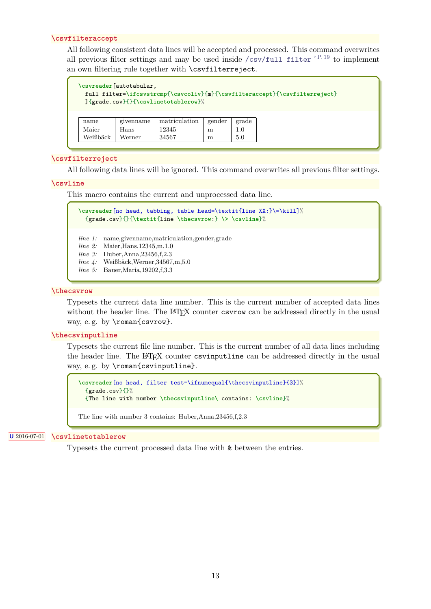#### <span id="page-12-3"></span><span id="page-12-0"></span>**\csvfilteraccept**

All following consistent data lines will be accepted and processed. This command overwrites all previous filter settings and may be used inside [/csv/full filter](#page-18-0)<sup>→ P. 19</sup> to implement an own filtering rule together with \csvfilterreject.

|                   | \csvreader[autotabular, | ]{grade.csv}{}{\csvlinetotablerow}% |        |            | full filter=\ifcsvstrcmp{\csvcoliv}{m}{\csvfilteraccept}{\csvfilterreject} |
|-------------------|-------------------------|-------------------------------------|--------|------------|----------------------------------------------------------------------------|
| name              | givenname               | matriculation                       | gender | grade      |                                                                            |
| Maier<br>Weißbäck | Hans<br>Werner          | 12345<br>34567                      | m<br>m | 1.0<br>5.0 |                                                                            |

#### <span id="page-12-1"></span>**\csvfilterreject**

All following data lines will be ignored. This command overwrites all previous filter settings.

#### **\csvline**

This macro contains the current and unprocessed data line.

```
\csvreader[no head, tabbing, table head=\textit{line XX:}\=\kill]%
 {grade.csv}{}{\textit{line \thecsvrow:} \> \csvline}%
```
*line 1:* name,givenname,matriculation,gender,grade

- *line 2:* Maier,Hans,12345,m,1.0
- *line 3:* Huber, Anna, 23456, f.2.3
- *line 4:* Weißbäck,Werner,34567,m,5.0
- *line 5:* Bauer,Maria,19202,f,3.3

#### **\thecsvrow**

Typesets the current data line number. This is the current number of accepted data lines without the header line. The LATEX counter csvrow can be addressed directly in the usual way, e.g. by \roman{csvrow}.

#### **\thecsvinputline**

Typesets the current file line number. This is the current number of all data lines including the header line. The LATEX counter csvinputline can be addressed directly in the usual way, e.g. by \roman{csvinputline}.

```
\csvreader[no head, filter test=\ifnumequal{\thecsvinputline}{3}]%
 {grade.csv}{\}{The line with number \thecsvinputline\ contains: \csvline}%
```
The line with number 3 contains: Huber,Anna,23456,f,2.3

#### **U** 2016-07-01 **\csvlinetotablerow**

<span id="page-12-2"></span>Typesets the current processed data line with & between the entries.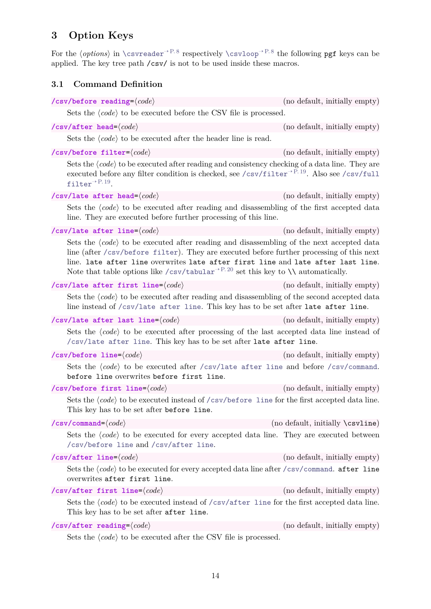# <span id="page-13-7"></span><span id="page-13-0"></span>**3 Option Keys**

For the  $\langle options\rangle$  in  $\csc^{\rho}$ <sup>P.8</sup> respectively  $\csc^{\rho}$ <sup>P.8</sup> the following pgf keys can be applied. The key tree path /csv/ is not to be used inside these macros.

## <span id="page-13-1"></span>**3.1 Command Definition**

<span id="page-13-6"></span><span id="page-13-5"></span><span id="page-13-4"></span><span id="page-13-3"></span><span id="page-13-2"></span>**/csv/before reading**=⟨*code*⟩ (no default, initially empty) Sets the  $\langle code \rangle$  to be executed before the CSV file is processed. **/csv/after head**=⟨*code*⟩ (no default, initially empty) Sets the  $\langle code \rangle$  to be executed after the header line is read. **/csv/before filter**=⟨*code*⟩ (no default, initially empty) Sets the  $\langle code \rangle$  to be executed after reading and consistency checking of a data line. They are executed before any filter condition is checked, see [/csv/filter](#page-18-1)<sup>→ P. 19</sup>. Also see [/csv/full](#page-18-0)  $filter<sup>→ P. 19</sup>.$  $filter<sup>→ P. 19</sup>.$ **/csv/late after head**=⟨*code*⟩ (no default, initially empty) Sets the  $\langle code \rangle$  to be executed after reading and disassembling of the first accepted data line. They are executed before further processing of this line. **/csv/late after line**=⟨*code*⟩ (no default, initially empty) Sets the  $\langle code \rangle$  to be executed after reading and disassembling of the next accepted data line (after [/csv/before filter](#page-13-4)). They are executed before further processing of this next line. late after line overwrites late after first line and late after last line. Note that table options like [/csv/tabular](#page-19-5)<sup>→ P. 20</sup> set this key to  $\setminus \setminus$  automatically. **/csv/late after first line**=⟨*code*⟩ (no default, initially empty) Sets the  $\langle code \rangle$  to be executed after reading and disassembling of the second accepted data line instead of [/csv/late after line](#page-13-2). This key has to be set after late after line. **/csv/late after last line**=⟨*code*⟩ (no default, initially empty) Sets the  $\langle code \rangle$  to be executed after processing of the last accepted data line instead of [/csv/late after line](#page-13-2). This key has to be set after late after line. **/csv/before line**=⟨*code*⟩ (no default, initially empty) Sets the  $\langle code \rangle$  to be executed after [/csv/late after line](#page-13-2) and before [/csv/command](#page-13-3). before line overwrites before first line. **/csv/before first line**=⟨*code*⟩ (no default, initially empty) Sets the *(code)* to be executed instead of */*csv/before line for the first accepted data line. This key has to be set after before line. **/csv/command**=⟨*code*⟩ (no default, initially \csvline) Sets the  $\langle code \rangle$  to be executed for every accepted data line. They are executed between [/csv/before line](#page-13-5) and [/csv/after line](#page-13-6). **/csv/after line**=⟨*code*⟩ (no default, initially empty) Sets the  $\langle code \rangle$  to be executed for every accepted data line after [/csv/command](#page-13-3). after line overwrites after first line. **/csv/after first line**=⟨*code*⟩ (no default, initially empty) Sets the  $\langle code \rangle$  to be executed instead of  $\langle csv/after \rangle$  line for the first accepted data line. This key has to be set after after line. **/csv/after reading**=⟨*code*⟩ (no default, initially empty) Sets the  $\langle code \rangle$  to be executed after the CSV file is processed.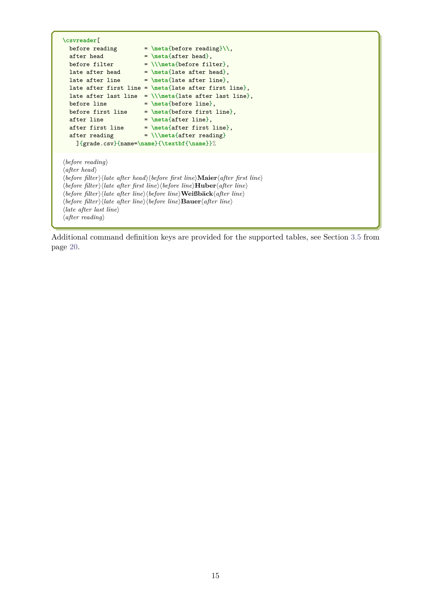```
\csvreader[<br>before reading<br>after head<br>before filter
                        before reading = \meta{before reading}\\,
                        = \n\theta_{\text{after head}}= \\\hat{before filter},late after head = \meta{late after head},
  late after line = \meta{late after line},
 late after first line = \meta{late after first line},
 late after last line = \\\meta{late after last line},
 before line = \meta{before line},
 before first line = \n\theta_{\text{before first line}},
 after line = \met{after line},
  after first line = \meta{after first line},
  after reading = \\\meta{after reading}
    ]{grade.csv}{name=\name}{\textbf{\name}}%
⟨before reading⟩
⟨after head⟩
⟨before filter⟩⟨late after head⟩⟨before first line⟩Maier⟨after first line⟩
⟨before filter⟩⟨late after first line⟩⟨before line⟩Huber⟨after line⟩
⟨before filter⟩⟨late after line⟩⟨before line⟩Weißbäck⟨after line⟩
⟨before filter⟩⟨late after line⟩⟨before line⟩Bauer⟨after line⟩
⟨late after last line⟩
⟨after reading⟩
```
Additional command definition keys are provided for the supported tables, see Section [3.5](#page-19-0) from page [20.](#page-19-0)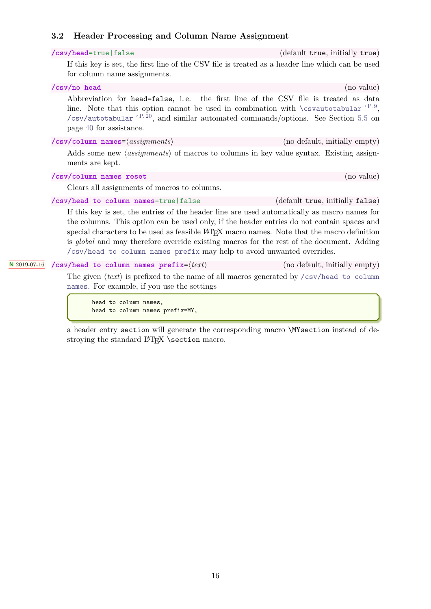## <span id="page-15-4"></span><span id="page-15-3"></span><span id="page-15-0"></span>**3.2 Header Processing and Column Name Assignment**

|              | /csv/head=true false                                                                                                                                                                                                                                                                                                                                                                                                                                                                 | (default true, initially true)  |
|--------------|--------------------------------------------------------------------------------------------------------------------------------------------------------------------------------------------------------------------------------------------------------------------------------------------------------------------------------------------------------------------------------------------------------------------------------------------------------------------------------------|---------------------------------|
|              | If this key is set, the first line of the CSV file is treated as a header line which can be used<br>for column name assignments.                                                                                                                                                                                                                                                                                                                                                     |                                 |
|              | /csv/no head                                                                                                                                                                                                                                                                                                                                                                                                                                                                         | (no value)                      |
|              | Abbreviation for head=false, i.e. the first line of the CSV file is treated as data<br>line. Note that this option cannot be used in combination with $\csc \theta$ and $\ar^2P.9$ ,<br>/csv/autotabular <sup>-&gt;P.20</sup> , and similar automated commands/options. See Section 5.5 on<br>page 40 for assistance.                                                                                                                                                                |                                 |
|              | $\sqrt{csv/column \text{ names}} = \langle assignments \rangle$                                                                                                                                                                                                                                                                                                                                                                                                                      | (no default, initially empty)   |
|              | Adds some new <i>(assignments)</i> of macros to columns in key value syntax. Existing assign-<br>ments are kept.                                                                                                                                                                                                                                                                                                                                                                     |                                 |
|              | /csv/column names reset                                                                                                                                                                                                                                                                                                                                                                                                                                                              | (no value)                      |
|              | Clears all assignments of macros to columns.                                                                                                                                                                                                                                                                                                                                                                                                                                         |                                 |
|              | /csv/head to column names=true   false                                                                                                                                                                                                                                                                                                                                                                                                                                               | (default true, initially false) |
|              | If this key is set, the entries of the header line are used automatically as macro names for<br>the columns. This option can be used only, if the header entries do not contain spaces and<br>special characters to be used as feasible LAT <sub>F</sub> X macro names. Note that the macro definition<br>is <i>global</i> and may therefore override existing macros for the rest of the document. Adding<br>/csv/head to column names prefix may help to avoid unwanted overrides. |                                 |
| N 2019-07-16 | /csv/head to column names prefix= $\langle text \rangle$                                                                                                                                                                                                                                                                                                                                                                                                                             | (no default, initially empty)   |
|              | The given $(t_{out})$ is profited to the name of all measures generated by $(t_{out}/t_{out})$ to activity                                                                                                                                                                                                                                                                                                                                                                           |                                 |

<span id="page-15-2"></span><span id="page-15-1"></span>The given  $\langle text \rangle$  is prefixed to the name of all macros generated by [/csv/head to column](#page-15-1) [names](#page-15-1). For example, if you use the settings

head to column names, head to column names prefix=MY,

a header entry section will generate the corresponding macro \MYsection instead of destroying the standard LAT<sub>EX</sub> \section macro.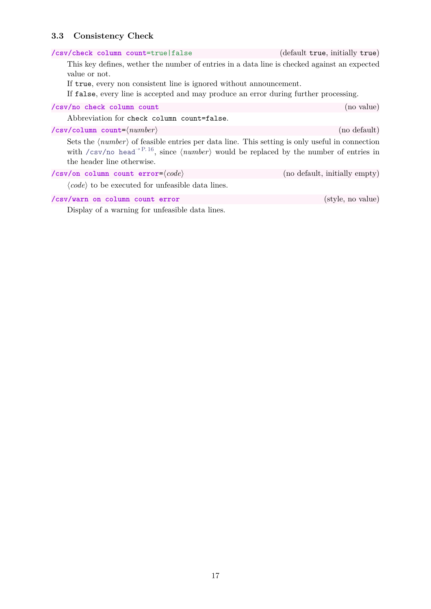# <span id="page-16-1"></span><span id="page-16-0"></span>**3.3 Consistency Check**

| /csv/check column count=true   false                                                                                                                                                                                                                                           | (default true, initially true) |
|--------------------------------------------------------------------------------------------------------------------------------------------------------------------------------------------------------------------------------------------------------------------------------|--------------------------------|
| This key defines, we there the number of entries in a data line is checked against an expected<br>value or not.<br>If true, every non consistent line is ignored without announcement.<br>If false, every line is accepted and may produce an error during further processing. |                                |
| /csv/no check column count                                                                                                                                                                                                                                                     | (no value)                     |
| Abbreviation for check column count=false.                                                                                                                                                                                                                                     |                                |
| $\sqrt{csv/column}$ count= $\langle number \rangle$                                                                                                                                                                                                                            | (no default)                   |
| Sets the $\langle number \rangle$ of feasible entries per data line. This setting is only useful in connection<br>with $\sqrt{csv}/\text{no head}^{3}$ . since $\langle number \rangle$ would be replaced by the number of entries in<br>the header line otherwise.            |                                |
| /csv/on column count error= $\langle code \rangle$                                                                                                                                                                                                                             | (no default, initially empty)  |
| $\langle code \rangle$ to be executed for unfeasible data lines.                                                                                                                                                                                                               |                                |
| /csv/warn on column count error                                                                                                                                                                                                                                                | (style, no value)              |

Display of a warning for unfeasible data lines.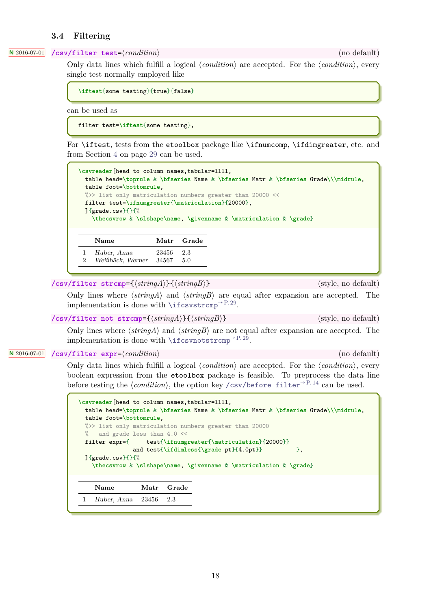#### <span id="page-17-1"></span><span id="page-17-0"></span>**3.4 Filtering**

#### **<sup>N</sup>** 2016-07-01 **/csv/filter test**=⟨*condition*⟩ (no default)

Only data lines which fulfill a logical ⟨*condition*⟩ are accepted. For the ⟨*condition*⟩, every single test normally employed like

**\iftest**{some testing}{true}{false}

can be used as

filter test=**\iftest**{some testing},

For \iftest, tests from the etoolbox package like \ifnumcomp, \ifdimgreater, etc. and from Section [4](#page-28-0) on page [29](#page-28-0) can be used.

| \csvreader[head to column names, tabular=1111,    |       |       | table head=\toprule & \bfseries Name & \bfseries Matr & \bfseries Grade\\\midrule, |
|---------------------------------------------------|-------|-------|------------------------------------------------------------------------------------|
| table foot=\bottomrule.                           |       |       |                                                                                    |
|                                                   |       |       | %>> list only matriculation numbers greater than 20000 <<                          |
| filter test=\ifnumgreater{\matriculation}{20000}, |       |       |                                                                                    |
| $\frac{1}{2}$ {grade.csv}{}{%                     |       |       |                                                                                    |
|                                                   |       |       | \thecsvrow & \slshape\name, \givenname & \matriculation & \grade}                  |
|                                                   |       |       |                                                                                    |
|                                                   |       |       |                                                                                    |
| Name                                              | Matr  | Grade |                                                                                    |
| Huber, Anna                                       | 23456 | 2.3   |                                                                                    |
| Weißbäck, Werner<br>$\overline{2}$                | 34567 | 5.0   |                                                                                    |

**/csv/filter strcmp**={⟨*stringA*⟩}{⟨*stringB*⟩} (style, no default)

Only lines where ⟨*stringA*⟩ and ⟨*stringB*⟩ are equal after expansion are accepted. The implementation is done with [\ifcsvstrcmp](#page-28-1)<sup>→</sup> P. 29 .

**/csv/filter not strcmp**={⟨*stringA*⟩}{⟨*stringB*⟩} (style, no default)

Only lines where ⟨*stringA*⟩ and ⟨*stringB*⟩ are not equal after expansion are accepted. The implementation is done with [\ifcsvnotstrcmp](#page-28-2)<sup>→</sup> P. 29 .

#### **<sup>N</sup>** 2016-07-01 **/csv/filter expr**=⟨*condition*⟩ (no default)

Only data lines which fulfill a logical ⟨*condition*⟩ are accepted. For the ⟨*condition*⟩, every boolean expression from the etoolbox package is feasible. To preprocess the data line before testing the  $\langle condition \rangle$ , the option key [/csv/before filter](#page-13-4)<sup>→ P. 14</sup> can be used.

| \csvreader[head to column names, tabular=1111,<br>table head=\toprule & \bfseries Name & \bfseries Matr & \bfseries Grade\\\midrule, |
|--------------------------------------------------------------------------------------------------------------------------------------|
| table foot=\bottomrule,                                                                                                              |
| %>> list only matriculation numbers greater than 20000                                                                               |
| $\frac{1}{2}$<br>and grade less than 4.0 <<                                                                                          |
|                                                                                                                                      |
| and test{\ifdimless{\grade pt}{4.0pt}}<br><b>},</b>                                                                                  |
| $\frac{1}{2}$ {grade.csv}{}{%                                                                                                        |
| \thecsvrow & \slshape\name, \givenname & \matriculation & \grade}                                                                    |
|                                                                                                                                      |
|                                                                                                                                      |
| Name<br>Matr<br>Grade                                                                                                                |
| Huber, Anna $23456$ 2.3                                                                                                              |
|                                                                                                                                      |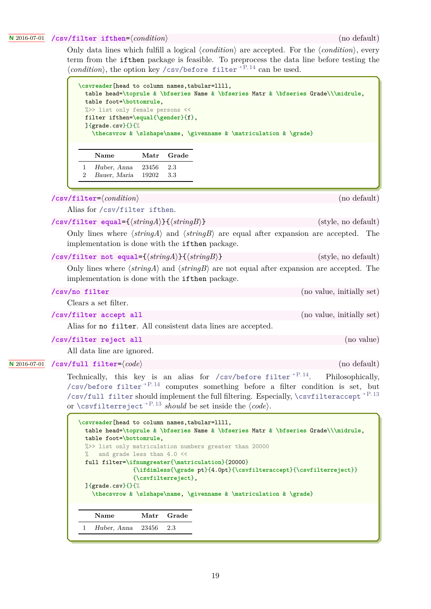#### **<sup>N</sup>** 2016-07-01 **/csv/filter ifthen**=⟨*condition*⟩ (no default)

<span id="page-18-3"></span><span id="page-18-2"></span>Only data lines which fulfill a logical ⟨*condition*⟩ are accepted. For the ⟨*condition*⟩, every term from the ifthen package is feasible. To preprocess the data line before testing the  $\langle$ *condition* $\rangle$ , the option key [/csv/before filter](#page-13-4)<sup>→ P. 14</sup> can be used.

| table foot=\bottomrule,<br>%>> list only female persons << |       |       |                                                                   |
|------------------------------------------------------------|-------|-------|-------------------------------------------------------------------|
| filter ifthen=\equal{\gender}{f},                          |       |       |                                                                   |
| $]\{grade.csv\}\{\}\$                                      |       |       |                                                                   |
|                                                            |       |       |                                                                   |
|                                                            |       |       | \thecsvrow & \slshape\name, \givenname & \matriculation & \grade} |
|                                                            |       |       |                                                                   |
| Name                                                       | Matr  | Grade |                                                                   |
| Huber, Anna                                                | 23456 | 2.3   |                                                                   |

<span id="page-18-1"></span>

| $\sqrt{28}$                                                                                                                                                                        | (no aciadic)              |
|------------------------------------------------------------------------------------------------------------------------------------------------------------------------------------|---------------------------|
| Alias for /csv/filter ifthen.                                                                                                                                                      |                           |
| /csv/filter equal={ $\langle stringA \rangle$ }{ $\langle stringB \rangle$ }                                                                                                       | (style, no default)       |
| Only lines where $\langle stringA \rangle$ and $\langle stringB \rangle$ are equal after expansion are accepted. The<br>implementation is done with the <b>if then</b> package.    |                           |
| /csv/filter not equal={ $\langle stringA \rangle$ }{ $\langle stringB \rangle$ }                                                                                                   | (style, no default)       |
| Only lines where $\langle stringA \rangle$ and $\langle stringB \rangle$ are not equal after expansion are accepted. The<br>implementation is done with the <b>ifthen</b> package. |                           |
| /csv/no filter                                                                                                                                                                     | (no value, initially set) |
| Clears a set filter.                                                                                                                                                               |                           |

**/csv/filter accept all** (no value, initially set)

Alias for no filter. All consistent data lines are accepted.

```
/csv/filter reject all (no value)
```
<span id="page-18-0"></span>All data line are ignored.

```
N 2016-07-01 /csv/full filter=⟨code⟩ (no default)
```
Technically, this key is an alias for [/csv/before filter](#page-13-4)<sup>→ P.14</sup>. Philosophically, [/csv/before filter](#page-13-4)<sup>→</sup> P. 14 computes something before a filter condition is set, but [/csv/full filter](#page-18-0) should implement the full filtering. Especially, [\csvfilteraccept](#page-12-0)<sup>→</sup> P. 13 or [\csvfilterreject](#page-12-1)<sup>→</sup> P. 13 *should* be set inside the ⟨*code*⟩.

```
\csvreader[head to column names,tabular=llll,
 table head=\toprule & \bfseries Name & \bfseries Matr & \bfseries Grade\\\midrule,
 table foot=\bottomrule,
 %>> list only matriculation numbers greater than 20000
    and grade less than 4.0 <<
 full filter=\ifnumgreater{\matriculation}{20000}
               {\ifdimless{\grade pt}{4.0pt}{\csvfilteraccept}{\csvfilterreject}}
               {\csvfilterreject},
 ]{grade.csv}{}{%
   \thecsvrow & \slshape\name, \givenname & \matriculation & \grade}
    Name Matr Grade
 1 Huber, Anna 23456 2.3
```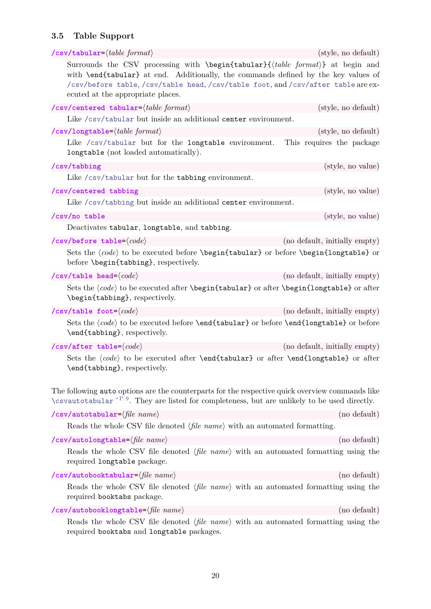# <span id="page-19-11"></span><span id="page-19-0"></span>**3.5 Table Support**

<span id="page-19-10"></span><span id="page-19-9"></span><span id="page-19-8"></span><span id="page-19-7"></span><span id="page-19-6"></span><span id="page-19-5"></span><span id="page-19-4"></span><span id="page-19-3"></span><span id="page-19-2"></span><span id="page-19-1"></span>

| $\verb /csv/tabular'  (table\ format)$                                                                                                                                                                                                                                                                                     | (style, no default)           |
|----------------------------------------------------------------------------------------------------------------------------------------------------------------------------------------------------------------------------------------------------------------------------------------------------------------------------|-------------------------------|
| Surrounds the CSV processing with $\begin{equation} \delta$ tabular $\{\delta$ (table format) at begin and<br>with \end{tabular} at end. Additionally, the commands defined by the key values of<br>/csv/before table, /csv/table head, /csv/table foot, and /csv/after table are ex-<br>ecuted at the appropriate places. |                               |
| $\sqrt{2}$ csv/centered tabular= $\langle table\ format \rangle$                                                                                                                                                                                                                                                           | (style, no default)           |
| Like /csv/tabular but inside an additional center environment.                                                                                                                                                                                                                                                             |                               |
| $\sqrt{csv/longtable}$ $\langle table\ format\rangle$                                                                                                                                                                                                                                                                      | (style, no default)           |
| Like /csv/tabular but for the longtable environment.<br>longtable (not loaded automatically).                                                                                                                                                                                                                              | This requires the package     |
| /csv/tabbing                                                                                                                                                                                                                                                                                                               | (style, no value)             |
| Like /csv/tabular but for the tabbing environment.                                                                                                                                                                                                                                                                         |                               |
| /csv/centered tabbing                                                                                                                                                                                                                                                                                                      | (style, no value)             |
| Like /csv/tabbing but inside an additional center environment.                                                                                                                                                                                                                                                             |                               |
| /csv/no table                                                                                                                                                                                                                                                                                                              | (style, no value)             |
| Deactivates tabular, longtable, and tabbing.                                                                                                                                                                                                                                                                               |                               |
| /csv/before table= $\langle code \rangle$                                                                                                                                                                                                                                                                                  | (no default, initially empty) |
| Sets the $\langle code \rangle$ to be executed before <b>\begin{tabular}</b> or before <b>\begin{longtable}</b> or<br>before <i>\begin{tabbing}</i> , respectively.                                                                                                                                                        |                               |
| $\verb /csv/table head= code\rangle$                                                                                                                                                                                                                                                                                       | (no default, initially empty) |
| Sets the $\langle code \rangle$ to be executed after \begin{tabular} or after \begin{longtable} or after<br>\begin{tabbing}, respectively.                                                                                                                                                                                 |                               |
| $\verb /csv/table foot= code\rangle$                                                                                                                                                                                                                                                                                       | (no default, initially empty) |
| Sets the $\langle code \rangle$ to be executed before <b>\end{tabular}</b> or before <b>\end{longtable}</b> or before<br>\end{tabbing}, respectively.                                                                                                                                                                      |                               |
| $\verb /csv/after table= code\rangle$                                                                                                                                                                                                                                                                                      | (no default, initially empty) |
| Sets the $\langle code \rangle$ to be executed after <b>\end{tabular}</b> or after <b>\end{longtable}</b> or after<br>\end{tabbing}, respectively.                                                                                                                                                                         |                               |
| The following auto options are the counterparts for the respective quick overview commands like<br>$\cos\theta$ are listed for completeness, but are unlikely to be used directly.                                                                                                                                         |                               |
| /csv/autotabular= $\langle file\ name \rangle$                                                                                                                                                                                                                                                                             | (no default)                  |
| Reads the whole CSV file denoted $\langle$ file name $\rangle$ with an automated formatting.                                                                                                                                                                                                                               |                               |
| $\sqrt{c}$ sv/autolongtable= $\langle file\ name \rangle$                                                                                                                                                                                                                                                                  | (no default)                  |
| Reads the whole CSV file denoted $\langle file \ name \rangle$ with an automated formatting using the<br>required longtable package.                                                                                                                                                                                       |                               |
| $\verb /csv/autobooktabular= \langle file \ name \rangle $                                                                                                                                                                                                                                                                 | (no default)                  |
| Reads the whole CSV file denoted $\langle file \ name \rangle$ with an automated formatting using the<br>required booktabs package.                                                                                                                                                                                        |                               |
| $\verb /csv/autobooklongtable= file\_name\rangle$                                                                                                                                                                                                                                                                          | (no default)                  |
| Reads the whole CSV file denoted $\langle file \ name \rangle$ with an automated formatting using the<br>required booktabs and longtable packages.                                                                                                                                                                         |                               |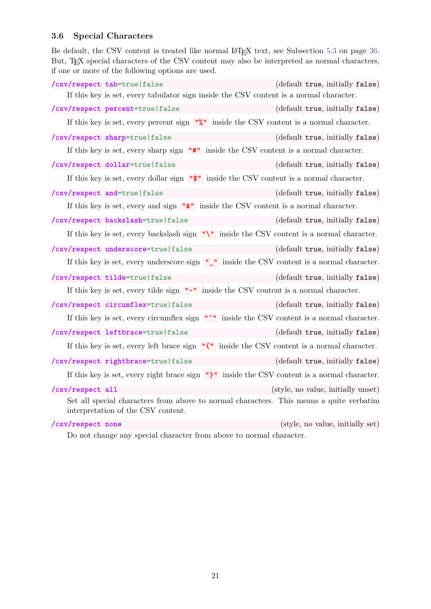# <span id="page-20-2"></span><span id="page-20-0"></span>**3.6 Special Characters**

Be default, the CSV content is treated like normal LAT<sub>EX</sub> text, see Subsection [5.3](#page-35-0) on page [36.](#page-35-0) But, T<sub>E</sub>X special characters of the CSV content may also be interpreted as normal characters, if one or more of the following options are used.

<span id="page-20-1"></span>

|                   | /csv/respect tab=true   false                                                                                                 | (default true, initially false)                              |
|-------------------|-------------------------------------------------------------------------------------------------------------------------------|--------------------------------------------------------------|
|                   | If this key is set, every tabulator sign inside the CSV content is a normal character.                                        |                                                              |
|                   | /csv/respect percent=true   false                                                                                             | (default true, initially false)                              |
|                   | If this key is set, every percent sign $"\%"$ inside the CSV content is a normal character.                                   |                                                              |
|                   | /csv/respect sharp=true   false                                                                                               | (default true, initially false)                              |
|                   | If this key is set, every sharp sign                                                                                          | $\mathbf{u}^*$ inside the CSV content is a normal character. |
|                   | /csv/respect dollar=true   false                                                                                              | (default true, initially false)                              |
|                   | If this key is set, every dollar sign                                                                                         | "\$" inside the CSV content is a normal character.           |
|                   | /csv/respect and=true   false                                                                                                 | (default true, initially false)                              |
|                   | If this key is set, every and sign $"\&"$ inside the CSV content is a normal character.                                       |                                                              |
|                   | /csv/respect backslash=true   false                                                                                           | (default true, initially false)                              |
|                   | If this key is set, every backslash sign $"\prime\prime"$ inside the CSV content is a normal character.                       |                                                              |
|                   | /csv/respect underscore=true   false                                                                                          | (default true, initially false)                              |
|                   | If this key is set, every underscore sign $"$ _" inside the CSV content is a normal character.                                |                                                              |
|                   | /csv/respect tilde=true   false                                                                                               | (default true, initially false)                              |
|                   | If this key is set, every tilde sign $"''$ inside the CSV content is a normal character.                                      |                                                              |
|                   | /csv/respect circumflex=true   false                                                                                          | (default true, initially false)                              |
|                   | If this key is set, every circumflex sign $\bullet\bullet\bullet$ inside the CSV content is a normal character.               |                                                              |
|                   | /csv/respect leftbrace=true   false                                                                                           | (default true, initially false)                              |
|                   | If this key is set, every left brace sign $\mathbb{T}^{\bullet}$ inside the CSV content is a normal character.                |                                                              |
|                   | /csv/respect rightbrace=true   false                                                                                          | (default true, initially false)                              |
|                   | If this key is set, every right brace sign $\mathbb{T}$ inside the CSV content is a normal character.                         |                                                              |
| /csv/respect all  |                                                                                                                               | (style, no value, initially unset)                           |
|                   | Set all special characters from above to normal characters. This means a quite verbatim<br>interpretation of the CSV content. |                                                              |
| /csv/respect none |                                                                                                                               | (style, no value, initially set)                             |
|                   | Do not change any special character from above to normal character.                                                           |                                                              |

21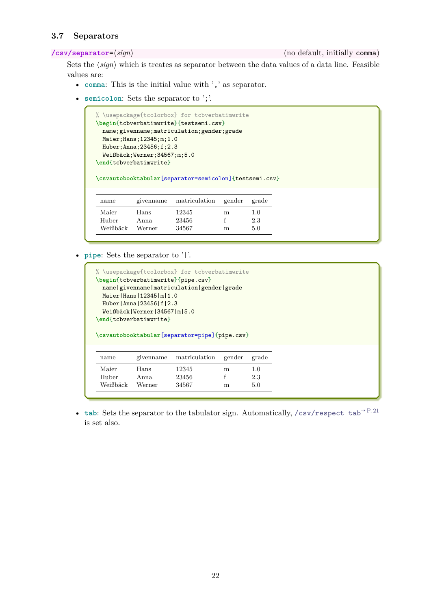## <span id="page-21-2"></span><span id="page-21-0"></span>**3.7 Separators**

<span id="page-21-1"></span>**/csv/separator**=⟨*sign*⟩ (no default, initially comma)

Sets the  $\langle sign \rangle$  which is treates as separator between the data values of a data line. Feasible values are:

- **comma**: This is the initial value with ',' as separator.
- **semicolon**: Sets the separator to ';'.

```
% \usepackage{tcolorbox} for tcbverbatimwrite
\begin{tcbverbatimwrite}{testsemi.csv}
 name;givenname;matriculation;gender;grade
 Maier;Hans;12345;m;1.0
 Huber;Anna;23456;f;2.3
 Weißbäck;Werner;34567;m;5.0
\end{tcbverbatimwrite}
\csvautobooktabular[separator=semicolon]{testsemi.csv}
 name givenname matriculation gender grade
 Maier Hans 12345 m 1.0<br>
Huber Anna 23456 f 2.3
 Huber Anna 23456 f 2.3
 Weißbäck Werner 34567 m 5.0
```
• **pipe**: Sets the separator to '|'.

```
% \usepackage{tcolorbox} for tcbverbatimwrite
\begin{tcbverbatimwrite}{pipe.csv}
 name|givenname|matriculation|gender|grade
 Maier|Hans|12345|m|1.0
 Huber|Anna|23456|f|2.3
 Weißbäck|Werner|34567|m|5.0
\end{tcbverbatimwrite}
\csvautobooktabular[separator=pipe]{pipe.csv}
name givenname matriculation gender grade
 Maier Hans 12345 m 1.0
Huber Anna 23456 f 2.3
 Weißbäck Werner 34567 m 5.0
```
• **tab**: Sets the separator to the tabulator sign. Automatically, [/csv/respect tab](#page-20-1)<sup>→</sup> P. 21 is set also.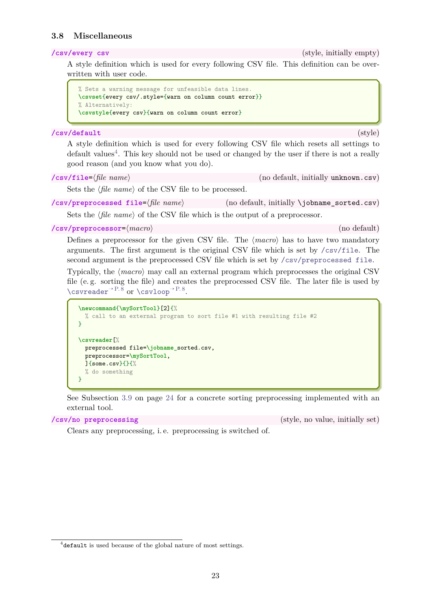### <span id="page-22-5"></span><span id="page-22-0"></span>**3.8 Miscellaneous**

**/csv/every csv** (style, initially empty)

A style definition which is used for every following CSV file. This definition can be overwritten with user code.

```
% Sets a warning message for unfeasible data lines.
\csvset{every csv/.style={warn on column count error}}
% Alternatively:
\csvstyle{every csv}{warn on column count error}
```
#### **/csv/default** (style)

A style definition which is used for every following CSV file which resets all settings to default values<sup>[4](#page-22-2)</sup>. This key should not be used or changed by the user if there is not a really good reason (and you know what you do).

<span id="page-22-1"></span>

| $\sqrt{\text{csv/file}} = \langle \text{file name} \rangle$ |  |
|-------------------------------------------------------------|--|
|-------------------------------------------------------------|--|

(no default, initially unknown.csv)

Sets the  $\langle$ *file name* $\rangle$  of the CSV file to be processed.

<span id="page-22-3"></span>**/csv/preprocessed file**=⟨*file name*⟩ (no default, initially \jobname\_sorted.csv)

Sets the  $\langle$ *file name* $\rangle$  of the CSV file which is the output of a preprocessor.

#### <span id="page-22-4"></span>**/csv/preprocessor**=⟨*macro*⟩ (no default)

Defines a preprocessor for the given CSV file. The ⟨*macro*⟩ has to have two mandatory arguments. The first argument is the original CSV file which is set by [/csv/file](#page-22-1). The second argument is the preprocessed CSV file which is set by [/csv/preprocessed file](#page-22-3).

Typically, the ⟨*macro*⟩ may call an external program which preprocesses the original CSV file (e. g. sorting the file) and creates the preprocessed CSV file. The later file is used by [\csvreader](#page-7-1)<sup>→</sup> P. 8 or [\csvloop](#page-7-2)<sup>→</sup> P. 8 .

```
\newcommand{\mySortTool}[2]{%
  % call to an external program to sort file #1 with resulting file #2
\mathbf{r}\csvreader[%
  preprocessed file=\jobname_sorted.csv,
  preprocessor=\mySortTool,
  ]{some.csv}{}{%
  % do something
}
```
See Subsection [3.9](#page-23-0) on page [24](#page-23-0) for a concrete sorting preprocessing implemented with an external tool.

**/csv/no preprocessing** (style, no value, initially set)

Clears any preprocessing, i. e. preprocessing is switched of.

<span id="page-22-2"></span><sup>4</sup> default is used because of the global nature of most settings.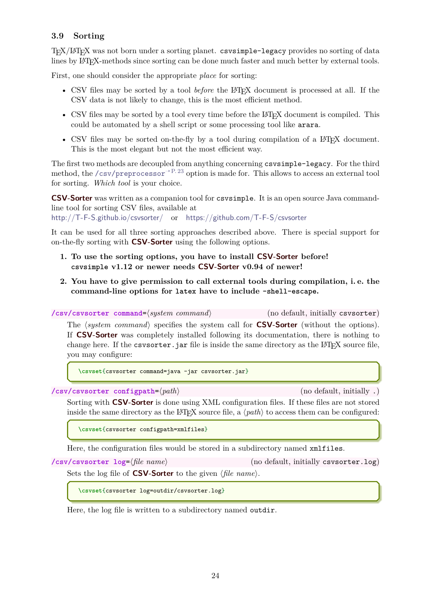## <span id="page-23-2"></span><span id="page-23-0"></span>**3.9 Sorting**

TEX/LATEX was not born under a sorting planet. csvsimple-legacy provides no sorting of data lines by LATEX-methods since sorting can be done much faster and much better by external tools.

First, one should consider the appropriate *place* for sorting:

- CSV files may be sorted by a tool *before* the LAT<sub>E</sub>X document is processed at all. If the CSV data is not likely to change, this is the most efficient method.
- CSV files may be sorted by a tool every time before the LAT<sub>EX</sub> document is compiled. This could be automated by a shell script or some processing tool like arara.
- CSV files may be sorted on-the-fly by a tool during compilation of a LAT<sub>EX</sub> document. This is the most elegant but not the most efficient way.

The first two methods are decoupled from anything concerning csvsimple-legacy. For the third method, the [/csv/preprocessor](#page-22-4)<sup>→ P. 23</sup> option is made for. This allows to access an external tool for sorting. *Which tool* is your choice.

**CSV-Sorter** was written as a companion tool for csvsimple. It is an open source Java commandline tool for sorting CSV files, available at

<http://T-F-S.github.io/csvsorter/> or <https://github.com/T-F-S/csvsorter>

It can be used for all three sorting approaches described above. There is special support for on-the-fly sorting with **CSV-Sorter** using the following options.

- **1. To use the sorting options, you have to install CSV-Sorter before! csvsimple v1.12 or newer needs CSV-Sorter v0.94 of newer!**
- **2. You have to give permission to call external tools during compilation, i. e. the command-line options for latex have to include -shell-escape.**

**/csv/csvsorter command**=⟨*system command*⟩ (no default, initially csvsorter) The ⟨*system command*⟩ specifies the system call for **CSV-Sorter** (without the options). If **CSV-Sorter** was completely installed following its documentation, there is nothing to change here. If the csvsorter. jar file is inside the same directory as the  $\angle$ FIFX source file, you may configure:

**\csvset**{csvsorter command=java -jar csvsorter.jar}

**/csv/csvsorter configpath**=⟨*path*⟩ (no default, initially .)

Sorting with **CSV-Sorter** is done using XML configuration files. If these files are not stored inside the same directory as the LAT<sub>E</sub>X source file, a  $\langle path \rangle$  to access them can be configured:

**\csvset**{csvsorter configpath=xmlfiles}

Here, the configuration files would be stored in a subdirectory named xmlfiles.

<span id="page-23-1"></span>**/csv/csvsorter log**=⟨*file name*⟩ (no default, initially csvsorter.log)

Sets the log file of **CSV-Sorter** to the given ⟨*file name*⟩.

**\csvset**{csvsorter log=outdir/csvsorter.log}

Here, the log file is written to a subdirectory named outdir.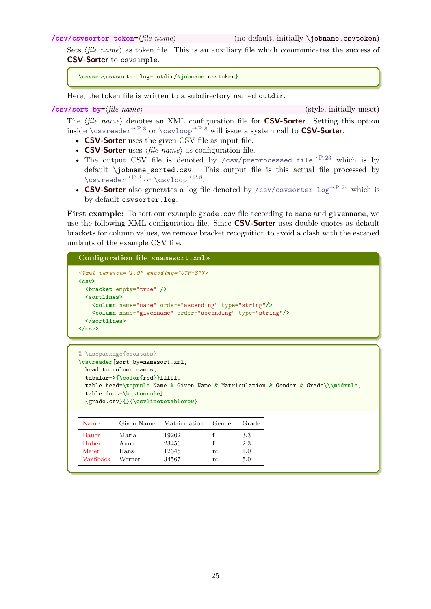<span id="page-24-1"></span>Sets  $\langle$ *file name* $\rangle$  as token file. This is an auxiliary file which communicates the success of **CSV-Sorter** to csvsimple.

```
\csvset{csvsorter log=outdir/\jobname.csvtoken}
```
Here, the token file is written to a subdirectory named outdir.

```
/csv/sort by=⟨file name⟩ (style, initially unset)
```
The ⟨*file name*⟩ denotes an XML configuration file for **CSV-Sorter**. Setting this option inside  $\csc^{\rho}$  or  $\csc^{\rho}$ <sup>+ P.8</sup> will issue a system call to **CSV-Sorter**.

- **CSV-Sorter** uses the given CSV file as input file.
- **CSV-Sorter** uses ⟨*file name*⟩ as configuration file.
- The output CSV file is denoted by [/csv/preprocessed file](#page-22-3)<sup> $\rightarrow$ P.23</sup> which is by default \jobname\_sorted.csv. This output file is this actual file processed by [\csvreader](#page-7-1)<sup>→</sup> P. 8 or [\csvloop](#page-7-2)<sup>→</sup> P. 8 .
- **CSV-Sorter** also generates a log file denoted by /csv/csvsorter  $\log^{3} P.24$  which is by default csvsorter.log.

First example: To sort our example grade.csv file according to name and givenname, we use the following XML configuration file. Since **CSV-Sorter** uses double quotes as default brackets for column values, we remove bracket recognition to avoid a clash with the escaped umlauts of the example CSV file.

#### **Configuration file «namesort.xml»**

```
<?xml version="1.0" encoding="UTF-8"?>
<csv>
 <bracket empty="true" />
 <sortlines>
    <column name="name" order="ascending" type="string"/>
    <column name="givenname" order="ascending" type="string"/>
 </sortlines>
</csv>
```

```
% \usepackage{booktabs}
\csvreader[sort by=namesort.xml,
 head to column names,
 tabular=>{\color{red}}lllll,
 table head=\toprule Name & Given Name & Matriculation & Gender & Grade\\\midrule,
 table foot=\bottomrule]
  {grade.csv}{}{\csvlinetotablerow}
```

| Name     | Given Name | Matriculation | Gender | Grade |
|----------|------------|---------------|--------|-------|
| Bauer    | Maria.     | 19202         |        | 3.3   |
| Huber    | Anna.      | 23456         |        | 2.3   |
| Maier    | Hans       | 12345         | m      | 1.0   |
| Weißbäck | Werner     | 34567         | m      | 5.0   |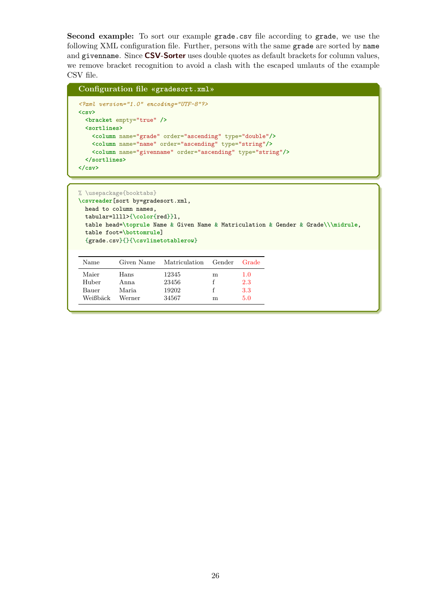**Second example:** To sort our example grade.csv file according to grade, we use the following XML configuration file. Further, persons with the same grade are sorted by name and givenname. Since **CSV-Sorter** uses double quotes as default brackets for column values, we remove bracket recognition to avoid a clash with the escaped umlauts of the example CSV file.

```
Configuration file «gradesort.xml»
<?xml version="1.0" encoding="UTF-8"?>
<csv>
 <bracket empty="true" />
 <sortlines>
   <column name="grade" order="ascending" type="double"/>
   <column name="name" order="ascending" type="string"/>
   <column name="givenname" order="ascending" type="string"/>
 </sortlines>
</csv>
```

```
% \usepackage{booktabs}
\csvreader[sort by=gradesort.xml,
 head to column names,
 tabular=llll>{\color{red}}l,
 table head=\toprule Name & Given Name & Matriculation & Gender & Grade\\\midrule,
 table foot=\bottomrule]
 {grade.csv}{}{\csvlinetotablerow}
```

| Name     | Given Name | Matriculation | Gender | Grade   |
|----------|------------|---------------|--------|---------|
| Maier    | Hans       | 12345         | m      | $1.0\,$ |
| Huber    | Anna       | 23456         |        | 2.3     |
| Bauer    | Maria      | 19202         |        | 3.3     |
| Weißbäck | Werner     | 34567         | m      | 5.0     |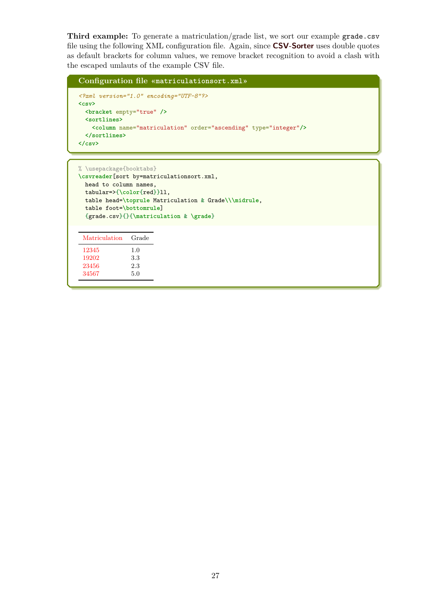**Third example:** To generate a matriculation/grade list, we sort our example grade.csv file using the following XML configuration file. Again, since **CSV-Sorter** uses double quotes as default brackets for column values, we remove bracket recognition to avoid a clash with the escaped umlauts of the example CSV file.

```
Configuration file «matriculationsort.xml»
<?xml version="1.0" encoding="UTF-8"?>
<csv>
 <bracket empty="true" />
 <sortlines>
   <column name="matriculation" order="ascending" type="integer"/>
 </sortlines>
</csv>
```

```
% \usepackage{booktabs}
\csvreader[sort by=matriculationsort.xml,
 head to column names,
 tabular=>{\color{red}}ll,
 table head=\toprule Matriculation & Grade\\\midrule,
 table foot=\bottomrule]
 {grade.csv}{}{\matriculation & \grade}
```

| Matriculation | Grade |
|---------------|-------|
| 12345         | 1.0   |
| 19202         | 3.3   |
| 23456         | 2.3   |
| 34567         | 5.0   |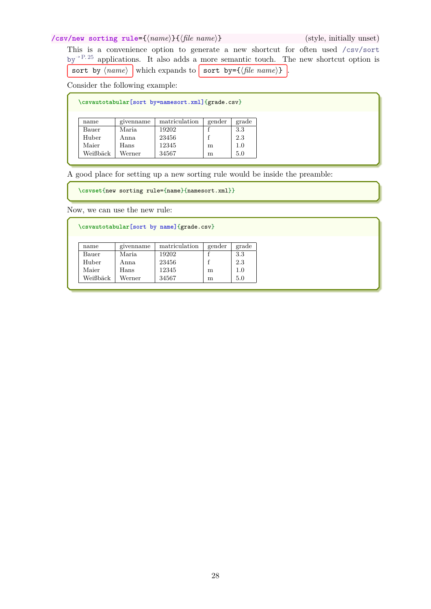## <span id="page-27-0"></span>**/csv/new sorting rule**={⟨*name*⟩}{⟨*file name*⟩} (style, initially unset)

This is a convenience option to generate a new shortcut for often used [/csv/sort](#page-24-0) by<sup> $\rightarrow$  [P. 25](#page-24-0)</sup> applications. It also adds a more semantic touch. The new shortcut option is sort by  $\langle name \rangle$  which expands to sort by={ $\langle file \ name \rangle$  }.

Consider the following example:

|          |           | \csvautotabular[sort by=namesort.xml]{grade.csv} |        |       |
|----------|-----------|--------------------------------------------------|--------|-------|
|          |           |                                                  |        |       |
| name     | givenname | matriculation                                    | gender | grade |
| Bauer    | Maria.    | 19202                                            |        | 3.3   |
| Huber    | Anna      | 23456                                            |        | 2.3   |
| Maier    | Hans      | 12345                                            | m      | 1.0   |
| Weißbäck | Werner    | 34567                                            | m      | 5.0   |

A good place for setting up a new sorting rule would be inside the preamble:

**\csvset**{new sorting rule={name}{namesort.xml}}

Now, we can use the new rule:

**\csvautotabular**[sort by name]{grade.csv}

| name     | givenname | matriculation | gender | grade |
|----------|-----------|---------------|--------|-------|
| Bauer    | Maria     | 19202         |        | 3.3   |
| Huber    | Anna      | 23456         |        | 2.3   |
| Maier    | Hans      | 12345         | m      |       |
| Weißbäck | Werner    | 34567         | m      |       |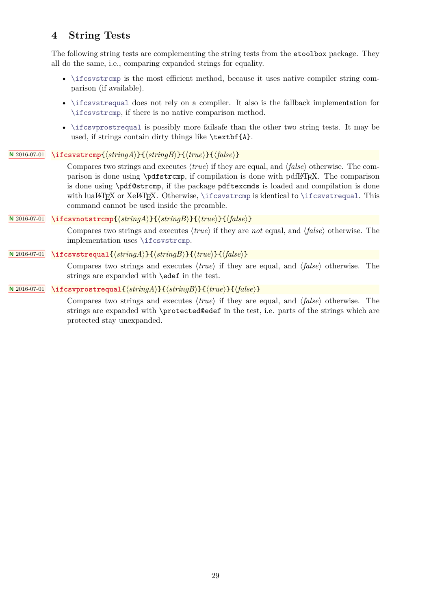# <span id="page-28-5"></span><span id="page-28-0"></span>**4 String Tests**

The following string tests are complementing the string tests from the etoolbox package. They all do the same, i.e., comparing expanded strings for equality.

- [\ifcsvstrcmp](#page-28-1) is the most efficient method, because it uses native compiler string comparison (if available).
- [\ifcsvstrequal](#page-28-3) does not rely on a compiler. It also is the fallback implementation for [\ifcsvstrcmp](#page-28-1), if there is no native comparison method.
- [\ifcsvprostrequal](#page-28-4) is possibly more failsafe than the other two string tests. It may be used, if strings contain dirty things like \textbf{A}.

### **<sup>N</sup>** 2016-07-01 **\ifcsvstrcmp**{⟨*stringA*⟩}{⟨*stringB*⟩}{⟨*true*⟩}{⟨*false*⟩}

<span id="page-28-1"></span>Compares two strings and executes ⟨*true*⟩ if they are equal, and ⟨*false*⟩ otherwise. The comparison is done using \pdfstrcmp, if compilation is done with pdfL<sup>AT</sup>EX. The comparison is done using \pdf@strcmp, if the package pdftexcmds is loaded and compilation is done with luaLATEX or XeLATEX. Otherwise, [\ifcsvstrcmp](#page-28-1) is identical to [\ifcsvstrequal](#page-28-3). This command cannot be used inside the preamble.

## **<sup>N</sup>** 2016-07-01 **\ifcsvnotstrcmp**{⟨*stringA*⟩}{⟨*stringB*⟩}{⟨*true*⟩}{⟨*false*⟩}

<span id="page-28-2"></span>Compares two strings and executes ⟨*true*⟩ if they are *not* equal, and ⟨*false*⟩ otherwise. The implementation uses [\ifcsvstrcmp](#page-28-1).

## **<sup>N</sup>** 2016-07-01 **\ifcsvstrequal**{⟨*stringA*⟩}{⟨*stringB*⟩}{⟨*true*⟩}{⟨*false*⟩}

<span id="page-28-3"></span>Compares two strings and executes ⟨*true*⟩ if they are equal, and ⟨*false*⟩ otherwise. The strings are expanded with \edef in the test.

## **<sup>N</sup>** 2016-07-01 **\ifcsvprostrequal**{⟨*stringA*⟩}{⟨*stringB*⟩}{⟨*true*⟩}{⟨*false*⟩}

<span id="page-28-4"></span>Compares two strings and executes ⟨*true*⟩ if they are equal, and ⟨*false*⟩ otherwise. The strings are expanded with \protected@edef in the test, i.e. parts of the strings which are protected stay unexpanded.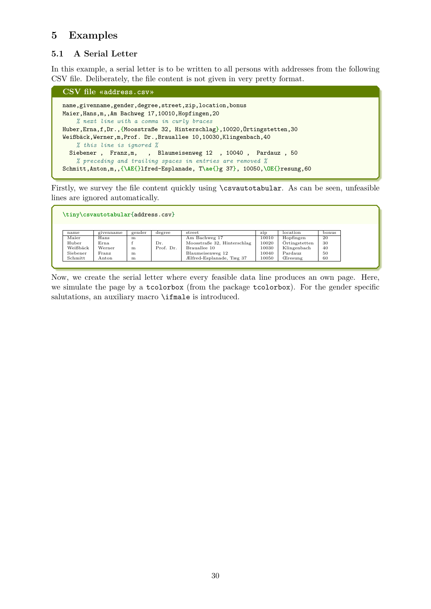# <span id="page-29-0"></span>**5 Examples**

# <span id="page-29-1"></span>**5.1 A Serial Letter**

In this example, a serial letter is to be written to all persons with addresses from the following CSV file. Deliberately, the file content is not given in very pretty format.

```
CSV file «address.csv»
name,givenname,gender,degree,street,zip,location,bonus
Maier,Hans,m,,Am Bachweg 17,10010,Hopfingen,20
   % next line with a comma in curly braces
Huber,Erna,f,Dr.,{Moosstraße 32, Hinterschlag},10020,Örtingstetten,30
Weißbäck,Werner,m,Prof. Dr.,Brauallee 10,10030,Klingenbach,40
   % this line is ignored %
 Siebener , Franz,m, , Blaumeisenweg 12 , 10040 , Pardauz , 50
   % preceding and trailing spaces in entries are removed %
Schmitt,Anton,m,,{\AE{}lfred-Esplanade, T\ae{}g 37}, 10050,\OE{}resung,60
```
Firstly, we survey the file content quickly using \csvautotabular. As can be seen, unfeasible lines are ignored automatically.

| \tiny\csvautotabular{address.csv} |           |        |           |                             |       |                |       |
|-----------------------------------|-----------|--------|-----------|-----------------------------|-------|----------------|-------|
|                                   |           |        |           |                             |       |                |       |
|                                   |           |        |           |                             |       |                |       |
| name                              | givenname | gender | degree    | street                      | zip   | location       | bonus |
| Maier                             | Hans      | m      |           | Am Bachweg 17               | 10010 | Hopfingen      | 20    |
| Huber                             | Erna.     |        | Dr.       | Moosstraße 32, Hinterschlag | 10020 | Örtingstetten  | 30    |
| Weißbäck                          | Werner    | m      | Prof. Dr. | Brauallee 10                | 10030 | Klingenbach    | 40    |
| Siebener                          | Franz     | m      |           | Blaumeisenweg 12            | 10040 | Pardauz        | 50    |
| Schmitt                           | Anton     | m      |           | Ælfred-Esplanade, Tæg 37    | 10050 | <b>Eresung</b> | 60    |

Now, we create the serial letter where every feasible data line produces an own page. Here, we simulate the page by a tcolorbox (from the package tcolorbox). For the gender specific salutations, an auxiliary macro **\ifmale** is introduced.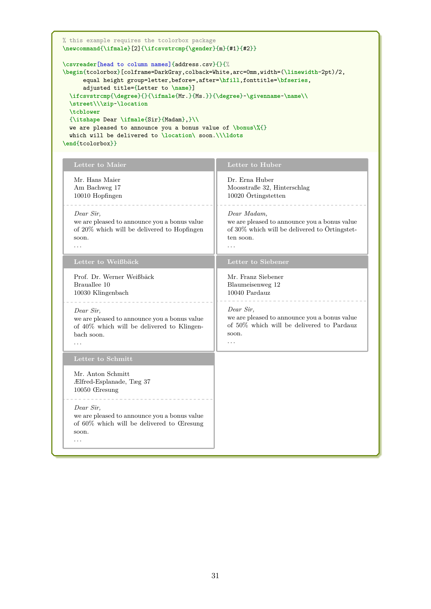```
% this example requires the tcolorbox package
\newcommand{\ifmale}[2]{\ifcsvstrcmp{\gender}{m}{#1}{#2}}
\csvreader[head to column names]{address.csv}{}{%
\begin{tcolorbox}[colframe=DarkGray,colback=White,arc=0mm,width=(\linewidth-2pt)/2,
     equal height group=letter,before=,after=\hfill,fonttitle=\bfseries,
     adjusted title={Letter to \name}]
 \ifcsvstrcmp{\degree}{}{\ifmale{Mr.}{Ms.}}{\degree}~\givenname~\name\\
 \street\\\zip~\location
 \tcblower
 {\itshape Dear \ifmale{Sir}{Madam},}\\
 we are pleased to announce you a bonus value of \bonus\%{}
 which will be delivered to \location\ soon.\\\ldots
\end{tcolorbox}}
```

| Letter to Maier                                                                                                                              | Letter to Huber                                                                                                                       |
|----------------------------------------------------------------------------------------------------------------------------------------------|---------------------------------------------------------------------------------------------------------------------------------------|
| Mr. Hans Maier<br>Am Bachweg 17<br>10010 Hopfingen                                                                                           | Dr. Erna Huber<br>Moosstraße 32, Hinterschlag<br>10020 Örtingstetten                                                                  |
| Dear Sir,<br>we are pleased to announce you a bonus value<br>of 20% which will be delivered to Hopfingen<br>soon.<br>$\cdot$ $\cdot$ $\cdot$ | Dear Madam,<br>we are pleased to announce you a bonus value<br>of 30% which will be delivered to Örtingstet-<br>ten soon.<br>$\cdots$ |
| Letter to Weißbäck                                                                                                                           | Letter to Siebener                                                                                                                    |
| Prof. Dr. Werner Weißbäck<br>Brauallee 10<br>10030 Klingenbach                                                                               | Mr. Franz Siebener<br>Blaumeisenweg 12<br>10040 Pardauz                                                                               |
| Dear Sir,<br>we are pleased to announce you a bonus value<br>of $40\%$ which will be delivered to Klingen-<br>bach soon.                     | Dear Sir,<br>we are pleased to announce you a bonus value<br>of 50% which will be delivered to Pardauz<br>soon.<br>.                  |
| Letter to Schmitt                                                                                                                            |                                                                                                                                       |
| Mr. Anton Schmitt<br>Ælfred-Esplanade, Tæg 37<br>$10050$ $G$ resung                                                                          |                                                                                                                                       |
| Dear Sir,<br>we are pleased to announce you a bonus value<br>of 60% which will be delivered to Œresung<br>soon.<br>.                         |                                                                                                                                       |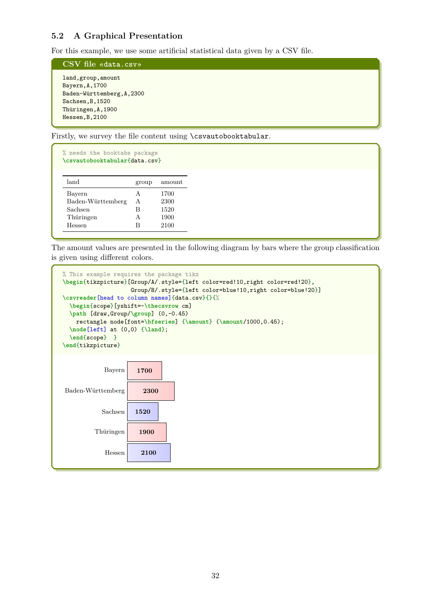# <span id="page-31-0"></span>**5.2 A Graphical Presentation**

For this example, we use some artificial statistical data given by a CSV file.

**CSV file «data.csv»**

land,group,amount Bayern,A,1700 Baden-Württemberg,A,2300 Sachsen,B,1520 Thüringen,A,1900 Hessen,B,2100

Firstly, we survey the file content using \csvautobooktabular.

| % needs the booktabs package<br>\csvautobooktabular{data.csv} |       |        |
|---------------------------------------------------------------|-------|--------|
| land                                                          | group | amount |
| Bayern                                                        | A     | 1700   |
| Baden-Württemberg                                             | A     | 2300   |
| Sachsen                                                       | R     | 1520   |
| Thüringen                                                     | A     | 1900   |
| Hessen                                                        | в     | 2100   |
|                                                               |       |        |

The amount values are presented in the following diagram by bars where the group classification is given using different colors.

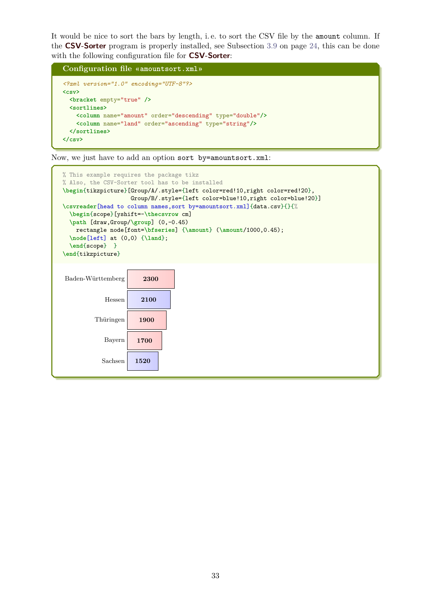It would be nice to sort the bars by length, i. e. to sort the CSV file by the amount column. If the **CSV-Sorter** program is properly installed, see Subsection [3.9](#page-23-0) on page [24,](#page-23-0) this can be done with the following configuration file for **CSV-Sorter**:

**Configuration file «amountsort.xml»** *<?xml version="1.0" encoding="UTF-8"?>* **<csv> <bracket** empty="true" **/> <sortlines> <column** name="amount" order="descending" type="double"**/> <column** name="land" order="ascending" type="string"**/> </sortlines> </csv>**

Now, we just have to add an option sort by=amountsort.xml:

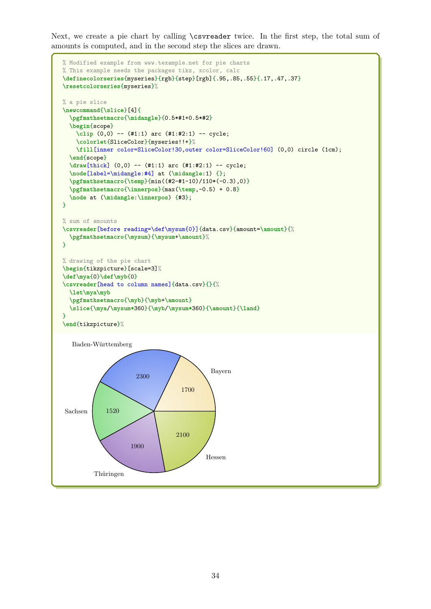Next, we create a pie chart by calling \csvreader twice. In the first step, the total sum of amounts is computed, and in the second step the slices are drawn.

```
% Modified example from www.texample.net for pie charts
% This example needs the packages tikz, xcolor, calc
\definecolorseries{myseries}{rgb}{step}[rgb]{.95,.85,.55}{.17,.47,.37}
\resetcolorseries{myseries}%
% a pie slice
\newcommand{\slice}[4]{
  \pgfmathsetmacro{\midangle}{0.5*#1+0.5*#2}
  \begin{scope}
    \clip (0,0) -- (#1:1) arc (#1:#2:1) -- cycle;
    \colorlet{SliceColor}{myseries!!+}%
    \fill[inner color=SliceColor!30,outer color=SliceColor!60] (0,0) circle (1cm);
  \end{scope}
  \draw[thick] (0,0) -- (#1:1) arc (#1:#2:1) -- cycle;
  \node[label=\midangle:#4] at (\midangle:1) {};
  \pgfmathsetmacro{\temp}{min((#2-#1-10)/110*(-0.3),0)}
  \pgfmathsetmacro{\innerpos}{max(\temp,-0.5) + 0.8}
  \node at (\midangle:\innerpos) {#3};
}
% sum of amounts
\csvreader[before reading=\def\mysum{0}]{data.csv}{amount=\amount}{%
  \pgfmathsetmacro{\mysum}{\mysum+\amount}%
\mathbf{r}% drawing of the pie chart
\begin{tikzpicture}[scale=3]%
\def\mya{0}\def\myb{0}
\csvreader[head to column names]{data.csv}{}{%
  \let\mya\myb
  \pgfmathsetmacro{\myb}{\myb+\amount}
  \slice{\mya/\mysum*360}{\myb/\mysum*360}{\amount}{\land}
}
\end{tikzpicture}%
                                            Bayern
                                   1700
   Baden-Württemberg
                      2300
Sachsen 1520
         Thüringen
                    1900
                                           Hessen
                                  2100
```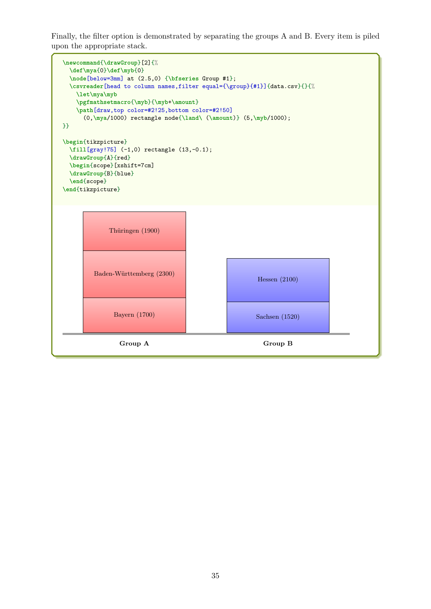Finally, the filter option is demonstrated by separating the groups A and B. Every item is piled upon the appropriate stack.

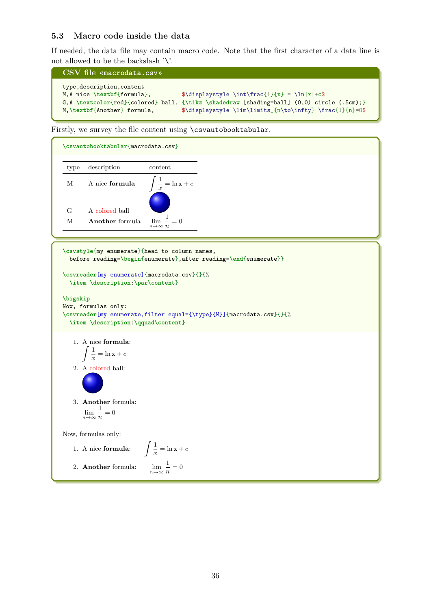## <span id="page-35-0"></span>**5.3 Macro code inside the data**

If needed, the data file may contain macro code. Note that the first character of a data line is not allowed to be the backslash '\'.

```
CSV file «macrodata.csv»
type,description,content
M,A nice \textbf{formula}, \{\delta\} \displaystyle \int\frac{1}{x} = \ln|x|+c$
G,A \textcolor{red}{colored} ball, {\tikz \shadedraw [shading=ball] (0,0) circle (.5cm);}<br>M,\textbf{Another} formula, $\displaystyle \lim\limits {n\to\infty} \frac{1}{n}=0$
                                               \displaystyle{\frac{\hbar\to\infty} {\hbar\tau}} \frac{1}{n}=0$
```
Firstly, we survey the file content using \csvautobooktabular.



**\csvstyle**{my enumerate}{head to column names, before reading=**\begin**{enumerate},after reading=**\end**{enumerate}} **\csvreader**[my enumerate]{macrodata.csv}{}{% **\item \description**:**\par\content**} **\bigskip** Now, formulas only: **\csvreader**[my enumerate,filter equal={\type}{M}]{macrodata.csv}{}{% **\item \description**:**\qquad\content**} 1. A nice **formula**:  $\int$  1  $\frac{1}{x} = \ln x + c$ 2. A colored ball: 3. **Another** formula: lim *n*→∞ 1  $\frac{1}{n} = 0$ Now, formulas only: 1. A nice **formula**:  $\int$  1  $\frac{1}{x} = \ln x + c$ 2. **Another** formula: *n*→∞ 1  $\frac{1}{n} = 0$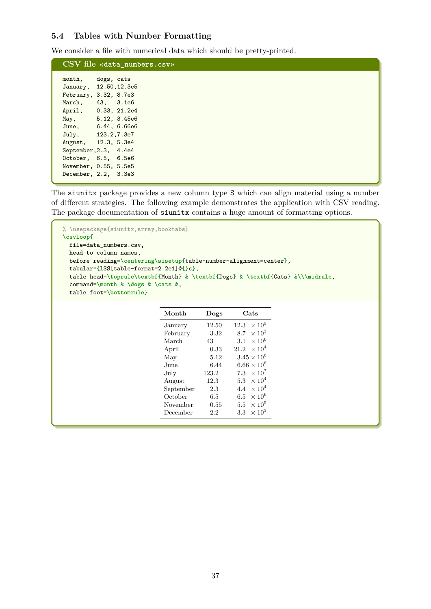## <span id="page-36-0"></span>**5.4 Tables with Number Formatting**

We consider a file with numerical data which should be pretty-printed.

|                        |            | CSV file «data_numbers.csv» |
|------------------------|------------|-----------------------------|
| month,                 | dogs, cats |                             |
| January, 12.50, 12.3e5 |            |                             |
| February, 3.32, 8.7e3  |            |                             |
| March, 43, 3.1e6       |            |                             |
| April, 0.33, 21.2e4    |            |                             |
| May, 5.12, 3.45e6      |            |                             |
| June, 6.44, 6.66e6     |            |                             |
| July, 123.2,7.3e7      |            |                             |
| August, 12.3, 5.3e4    |            |                             |
| September, 2.3, 4.4e4  |            |                             |
| October, 6.5, 6.5e6    |            |                             |
| November, 0.55, 5.5e5  |            |                             |
| December, 2.2, 3.3e3   |            |                             |

The siunitx package provides a new column type S which can align material using a number of different strategies. The following example demonstrates the application with CSV reading. The package documentation of siunitx contains a huge amount of formatting options.

```
% \usepackage{siunitx,array,booktabs}
\csvloop{
 file=data_numbers.csv,
 head to column names,
 before reading=\centering\sisetup{table-number-alignment=center},
 tabular={lSS[table-format=2.2e1]@{}c},
  table head=\toprule\textbf{Month} & \textbf{Dogs} & \textbf{Cats} &\\\midrule,
  command=\month & \dogs & \cats &,
  table foot=\bottomrule}
                            Month Dogs Cats
                             January 12.50 \t 12.3 \times 10^5February 3.32 8.7 \times 10^3March 43 3.1 \times 10^6April 0.33 \t 21.2 \t \times 10^4May 5.12 \t 3.45 \times 10^6June 6.44 6.66 \times 10^6July 123.2 \t 7.3 \times 10^7August 12.3 5.3 \times 10^4September 2.3 4.4 \times 10^4October 6.5 6.5 \times 10<sup>6</sup>
                             November 0.55 5.5 \times 10^5December 2.2 3.3 \times 10^3
```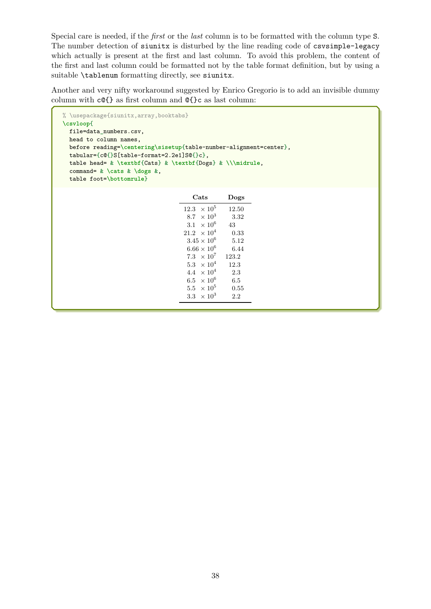Special care is needed, if the *first* or the *last* column is to be formatted with the column type S. The number detection of siunitx is disturbed by the line reading code of csvsimple-legacy which actually is present at the first and last column. To avoid this problem, the content of the first and last column could be formatted not by the table format definition, but by using a suitable \tablenum formatting directly, see siunitx.

Another and very nifty workaround suggested by Enrico Gregorio is to add an invisible dummy column with c@{} as first column and @{}c as last column:

```
% \usepackage{siunitx,array,booktabs}
\csvloop{
  file=data_numbers.csv,
  head to column names,
  before reading=\centering\sisetup{table-number-alignment=center},
  tabular={c@{}S[table-format=2.2e1]S@{}c},
  table head= & \textbf{Cats} & \textbf{Dogs} & \\\midrule,
  command= & \cats & \dogs &,
  table foot=\bottomrule}
                                         Cats Dogs
                                       12.3 \times 10^512.50
                                       8.7 \times 10^33.32
                                       3.1\ \times 10^643
                                       21.2\ \ \times 10^40.33
                                       3.45\times10^65.12
                                       6.66 \times 10^66.44
```
 $7.3~\times10^7$ 

 $5.3~\times 10^4$ 

 $4.4\ \times 10^4$ 

 $6.5~\times 10^6$ 

 $5.5~\times 10^5$ 

 $3.3~\times 10^3$ 

123*.*2

12*.*3

2*.*3

6*.*5

0*.*55

2*.*2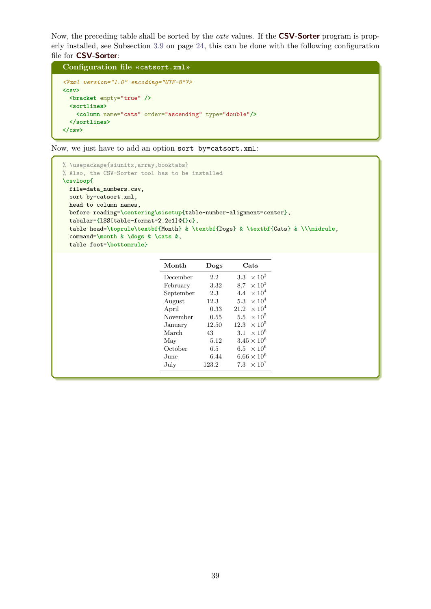Now, the preceding table shall be sorted by the *cats* values. If the **CSV-Sorter** program is properly installed, see Subsection [3.9](#page-23-0) on page [24,](#page-23-0) this can be done with the following configuration file for **CSV-Sorter**:

```
Configuration file «catsort.xml»
<?xml version="1.0" encoding="UTF-8"?>
<csv>
 <bracket empty="true" />
 <sortlines>
   <column name="cats" order="ascending" type="double"/>
 </sortlines>
</csv>
```
Now, we just have to add an option sort by=catsort.xml:

```
% \usepackage{siunitx,array,booktabs}
% Also, the CSV-Sorter tool has to be installed
\csvloop{
 file=data_numbers.csv,
 sort by=catsort.xml,
 head to column names,
 before reading=\centering\sisetup{table-number-alignment=center},
 tabular={lSS[table-format=2.2e1]@{}c},
 table head=\toprule\textbf{Month} & \textbf{Dogs} & \textbf{Cats} & \\\midrule,
 command=\month & \dogs & \cats &,
 table foot=\bottomrule}
```

| Month     | Dogs  | Cats                            |
|-----------|-------|---------------------------------|
| December  | 2.2   | $\times 10^3$<br>$3.3\,$        |
| February  | 3.32  | $\times 10^3$<br>8.7            |
| September | 2.3   | $\times$ 10 <sup>4</sup><br>4.4 |
| August    | 12.3  | $\times 10^4$<br>5.3            |
| April     | 0.33  | $\times 10^4$<br>21.2           |
| November  | 0.55  | $\times$ 10 <sup>5</sup><br>5.5 |
| January   | 12.50 | $\times 10^5$<br>12.3           |
| March     | 43    | $\times$ 10 <sup>6</sup><br>3.1 |
| May       | 5.12  | $3.45 \times 10^{6}$            |
| October   | 6.5   | 6.5 $\times$ 10 <sup>6</sup>    |
| June      | 6.44  | $6.66 \times 10^{6}$            |
| July      | 123.2 | 7.3 $\times$ 10 <sup>7</sup>    |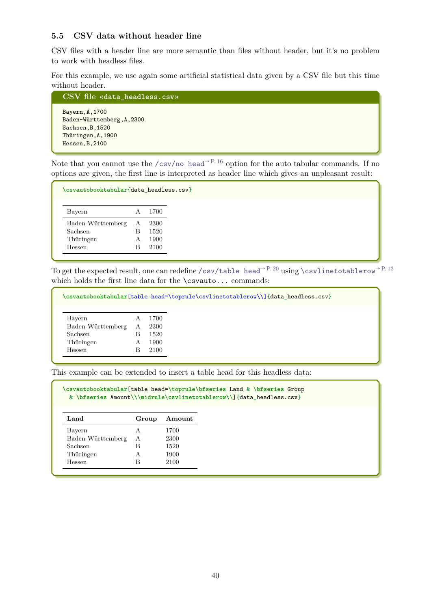## <span id="page-39-0"></span>**5.5 CSV data without header line**

CSV files with a header line are more semantic than files without header, but it's no problem to work with headless files.

For this example, we use again some artificial statistical data given by a CSV file but this time without header.

```
CSV file «data_headless.csv»
Bayern,A,1700
Baden-Württemberg,A,2300
Sachsen,B,1520
Thüringen,A,1900
Hessen,B,2100
```
Note that you cannot use the [/csv/no head](#page-15-3)<sup>→ P. 16</sup> option for the auto tabular commands. If no options are given, the first line is interpreted as header line which gives an unpleasant result:

| \csvautobooktabular{data_headless.csv}              |                  |                              |
|-----------------------------------------------------|------------------|------------------------------|
| Bayern                                              | A                | 1700                         |
| Baden-Württemberg<br>Sachsen<br>Thüringen<br>Hessen | А<br>R<br>A<br>В | 2300<br>1520<br>1900<br>2100 |

To get the expected result, one can redefine [/csv/table head](#page-19-7)<sup>→ P. 20</sup> using [\csvlinetotablerow](#page-12-2)<sup>→ P. 13</sup> which holds the first line data for the **\csvauto...** commands:

|                   |   |      | \csvautobooktabular[table head=\toprule\csvlinetotablerow\\]{data_headless.csv} |
|-------------------|---|------|---------------------------------------------------------------------------------|
| Bayern            |   | 1700 |                                                                                 |
| Baden-Württemberg | А | 2300 |                                                                                 |
| Sachsen           | В | 1520 |                                                                                 |
| Thüringen         |   | 1900 |                                                                                 |
| Hessen            |   | 2100 |                                                                                 |
|                   |   |      |                                                                                 |

This example can be extended to insert a table head for this headless data:

**\csvautobooktabular**[table head=**\toprule\bfseries** Land & **\bfseries** Group & **\bfseries** Amount**\\\midrule\csvlinetotablerow\\**]{data\_headless.csv}

| Land              | Group | Amount |
|-------------------|-------|--------|
| Bayern            | A     | 1700   |
| Baden-Württemberg | A     | 2300   |
| Sachsen           | R     | 1520   |
| Thüringen         | A     | 1900   |
| Hessen            | R     | 2100   |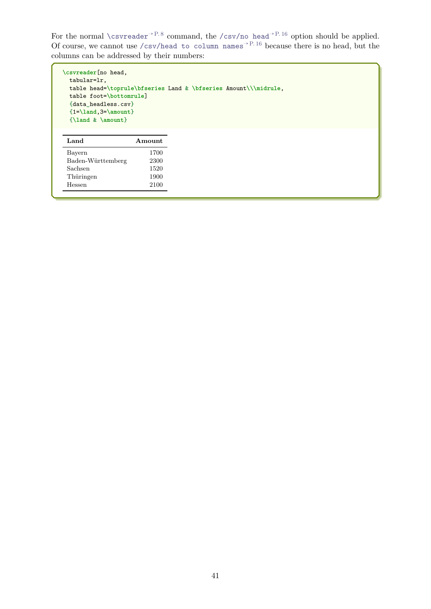For the normal [\csvreader](#page-7-1)<sup>→ P.8</sup> command, the [/csv/no head](#page-15-3)<sup>→ P.16</sup> option should be applied. Of course, we cannot use [/csv/head to column names](#page-15-1)<sup> $\rightarrow$  P.16</sup> because there is no head, but the columns can be addressed by their numbers:

```
\csvreader[no head,
 tabular=lr,
 table head=\toprule\bfseries Land & \bfseries Amount\\\midrule,
 table foot=\bottomrule]
 {data_headless.csv}
 {1=\land,3=\amount}
 {\land & \amount}
```

| Land              | Amount |
|-------------------|--------|
| Bayern            | 1700   |
| Baden-Württemberg | 2300   |
| Sachsen           | 1520   |
| Thüringen         | 1900   |
| Hessen            | 2100   |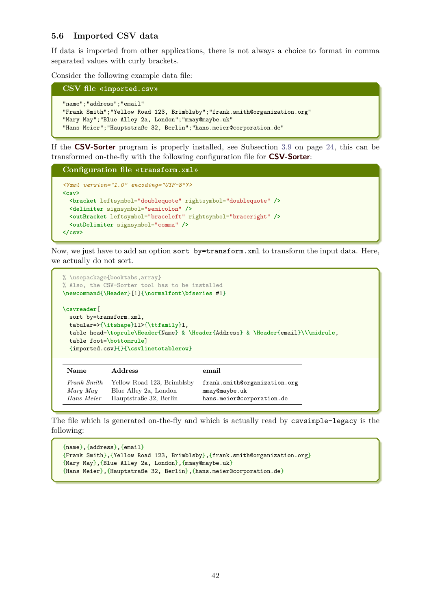### <span id="page-41-0"></span>**5.6 Imported CSV data**

If data is imported from other applications, there is not always a choice to format in comma separated values with curly brackets.

Consider the following example data file:

```
CSV file «imported.csv»
```

```
"name";"address";"email"
"Frank Smith";"Yellow Road 123, Brimblsby";"frank.smith@organization.org"
"Mary May";"Blue Alley 2a, London";"mmay@maybe.uk"
"Hans Meier";"Hauptstraße 32, Berlin";"hans.meier@corporation.de"
```
If the **CSV-Sorter** program is properly installed, see Subsection [3.9](#page-23-0) on page [24,](#page-23-0) this can be transformed on-the-fly with the following configuration file for **CSV-Sorter**:

```
Configuration file «transform.xml»
<?xml version="1.0" encoding="UTF-8"?>
<csv>
 <bracket leftsymbol="doublequote" rightsymbol="doublequote" />
 <delimiter signsymbol="semicolon" />
 <outBracket leftsymbol="braceleft" rightsymbol="braceright" />
  <outDelimiter signsymbol="comma" />
</csv>
```
Now, we just have to add an option sort by=transform.xml to transform the input data. Here, we actually do not sort.

```
% \usepackage{booktabs,array}
% Also, the CSV-Sorter tool has to be installed
\newcommand{\Header}[1]{\normalfont\bfseries #1}
\csvreader[
 sort by=transform.xml,
 tabular=>{\itshape}ll>{\ttfamily}l,
 table head=\toprule\Header{Name} & \Header{Address} & \Header{email}\\\midrule,
  table foot=\bottomrule]
  {imported.csv}{}{\csvlinetotablerow}
```

| <b>Name</b> | <b>Address</b>             | email                        |
|-------------|----------------------------|------------------------------|
| Frank Smith | Yellow Road 123, Brimblsby | frank.smith@organization.org |
| Mary May    | Blue Alley 2a, London      | mmay@maybe.uk                |
| Hans Meier  | Hauptstraße 32, Berlin     | hans.meier@corporation.de    |

The file which is generated on-the-fly and which is actually read by csvsimple-legacy is the following:

```
{name},{address},{email}
{Frank Smith},{Yellow Road 123, Brimblsby},{frank.smith@organization.org}
{Mary May},{Blue Alley 2a, London},{mmay@maybe.uk}
{Hans Meier},{Hauptstraße 32, Berlin},{hans.meier@corporation.de}
```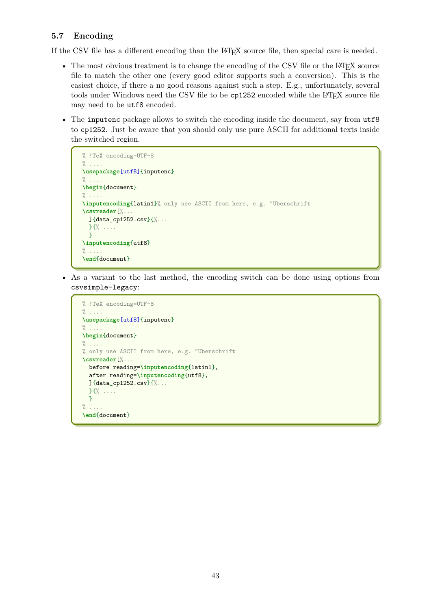# <span id="page-42-0"></span>**5.7 Encoding**

If the CSV file has a different encoding than the LAT<sub>EX</sub> source file, then special care is needed.

- The most obvious treatment is to change the encoding of the CSV file or the LATEX source file to match the other one (every good editor supports such a conversion). This is the easiest choice, if there a no good reasons against such a step. E.g., unfortunately, several tools under Windows need the CSV file to be cp1252 encoded while the IATEX source file may need to be utf8 encoded.
- The inputenc package allows to switch the encoding inside the document, say from utf8 to cp1252. Just be aware that you should only use pure ASCII for additional texts inside the switched region.

```
% !TeX encoding=UTF-8
% ....
\usepackage[utf8]{inputenc}
\% ....
\begin{document}
\% ....
\inputencoding{latin1}% only use ASCII from here, e.g. "Uberschrift
\csvreader[%...
 ]{data cp1252.csv}{%...
  }{% ....
  }
\inputencoding{utf8}
\% ...
\end{document}
```
• As a variant to the last method, the encoding switch can be done using options from csvsimple-legacy:

```
% !TeX encoding=UTF-8
\% ....
\usepackage[utf8]{inputenc}
\% ....
\begin{document}
\% \ldots% only use ASCII from here, e.g. "Uberschrift
\csvreader[%...
 before reading=\inputencoding{latin1},
 after reading=\inputencoding{utf8},
 ]{data_cp1252.csv}{%...
 }{% ....
 }
% ....
\end{document}
```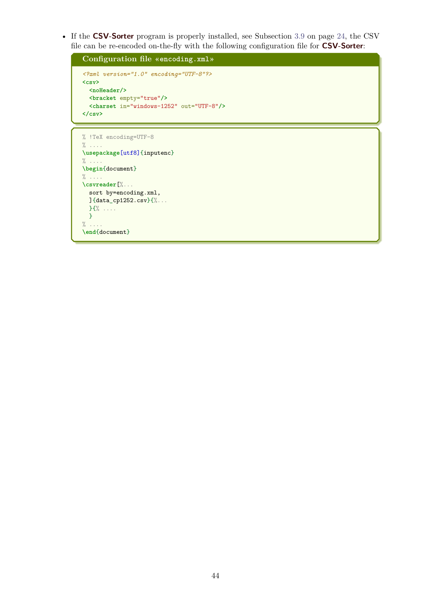• If the **CSV-Sorter** program is properly installed, see Subsection [3.9](#page-23-0) on page [24,](#page-23-0) the CSV file can be re-encoded on-the-fly with the following configuration file for **CSV-Sorter**:

```
Configuration file «encoding.xml»
<?xml version="1.0" encoding="UTF-8"?>
<csv>
 <noHeader/>
 <bracket empty="true"/>
 <charset in="windows-1252" out="UTF-8"/>
</csv>
```

```
% !TeX encoding=UTF-8
% ....
\usepackage[utf8]{inputenc}
\% ...
\begin{document}
% ....
\csvreader[%...
 sort by=encoding.xml,
 ]{data_cp1252.csv}{%...
 }{% ....
 }
\% ....
\end{document}
```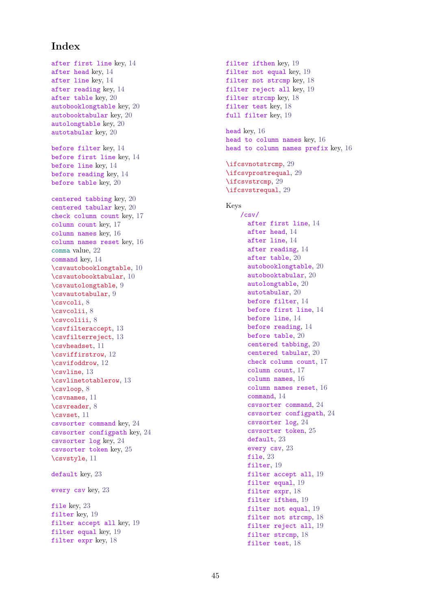# <span id="page-44-0"></span>**Index**

after first line key, [14](#page-13-7) after head key, [14](#page-13-7) after line key, [14](#page-13-7) after reading key, [14](#page-13-7) after table key, [20](#page-19-11) autobooklongtable key, [20](#page-19-11) autobooktabular key, [20](#page-19-11) autolongtable key, [20](#page-19-11) autotabular key, [20](#page-19-11) before filter key, [14](#page-13-7) before first line key, [14](#page-13-7) before line key, [14](#page-13-7) before reading key, [14](#page-13-7) before table key, [20](#page-19-11) centered tabbing key, [20](#page-19-11) centered tabular key, [20](#page-19-11) check column count key, [17](#page-16-1) column count key, [17](#page-16-1) column names key, [16](#page-15-4) column names reset key, [16](#page-15-4) comma value, [22](#page-21-2) command key, [14](#page-13-7) \csvautobooklongtable , [10](#page-9-0) \csvautobooktabular , [10](#page-9-0) \csvautolongtable , [9](#page-8-1) \csvautotabular , [9](#page-8-1) \csvcoli , [8](#page-7-3) \csvcolii , [8](#page-7-3) \csvcoliii , [8](#page-7-3) \csvfilteraccept , [13](#page-12-3) \csvfilterreject , [13](#page-12-3) \csvheadset , [11](#page-10-2) \csviffirstrow , [12](#page-11-0) \csvifoddrow , [12](#page-11-0) \csvline , [13](#page-12-3) \csvlinetotablerow , [13](#page-12-3) \csvloop , [8](#page-7-3) \csvnames , [11](#page-10-2) \csvreader , [8](#page-7-3) \csvset , [11](#page-10-2) csvsorter command key, [24](#page-23-2) csvsorter configpath key, [24](#page-23-2) csvsorter log key, [24](#page-23-2) csvsorter token key, [25](#page-24-1) \csvstyle , [11](#page-10-2) default key, [23](#page-22-5) every csv key, [23](#page-22-5) file key, [23](#page-22-5) filter key, [19](#page-18-3) filter accept all key, [19](#page-18-3) filter equal key, [19](#page-18-3) filter expr key, [18](#page-17-1)

filter ifthen key, [19](#page-18-3) filter not equal key, [19](#page-18-3) filter not strcmp key, [18](#page-17-1) filter reject all key, [19](#page-18-3) filter strcmp key, [18](#page-17-1) filter test key, [18](#page-17-1) full filter key, [19](#page-18-3) head key, [16](#page-15-4) head to column names key, [16](#page-15-4) head to column names prefix key, [16](#page-15-4) \ifcsvnotstrcmp , [29](#page-28-5) \ifcsvprostrequal , [29](#page-28-5) \ifcsvstrcmp , [29](#page-28-5) \ifcsvstrequal , [29](#page-28-5) Keys /csv/ after first line , [14](#page-13-7) after head , [14](#page-13-7) after line , [14](#page-13-7) after reading , [14](#page-13-7) after table , [20](#page-19-11) autobooklongtable , [20](#page-19-11) autobooktabular , [20](#page-19-11) autolongtable , [20](#page-19-11) autotabular , [20](#page-19-11) before filter , [14](#page-13-7) before first line , [14](#page-13-7) before line , [14](#page-13-7) before reading , [14](#page-13-7) before table , [20](#page-19-11) centered tabbing , [20](#page-19-11) centered tabular , [20](#page-19-11) check column count , [17](#page-16-1) column count , [17](#page-16-1) column names , [16](#page-15-4) column names reset , [16](#page-15-4) command , [14](#page-13-7) csvsorter command , [24](#page-23-2) csvsorter configpath , [24](#page-23-2) csvsorter log , [24](#page-23-2) csvsorter token , [25](#page-24-1) default , [23](#page-22-5) every csv , [23](#page-22-5) file , [23](#page-22-5) filter, [19](#page-18-3) filter accept all, [19](#page-18-3) filter equal, [19](#page-18-3) filter expr, [18](#page-17-1) filter ifthen, [19](#page-18-3) filter not equal, [19](#page-18-3) filter not strcmp, [18](#page-17-1) filter reject all, [19](#page-18-3) filter strcmp, [18](#page-17-1) filter test, [18](#page-17-1)